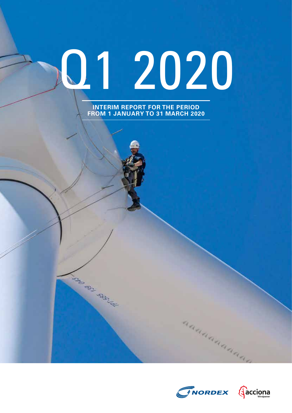# Q1 2020

**INTERIM REPORT FOR THE PERIOD FROM 1 JANUARY TO 31 MARCH 2020**

ASSESSMENT REPORT



aaaaaaaaaaa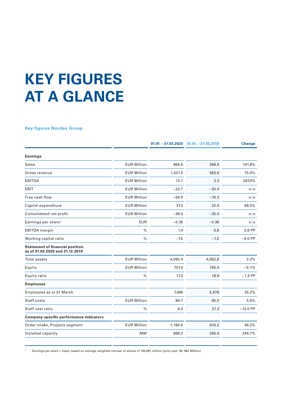# **KEY FIGURES AT A GLANCE**

# **Key figures Nordex Group**

|                                                                           |                    | $01.01. -31.03.2020$ | $01.01. -31.03,2019$ | <b>Change</b> |
|---------------------------------------------------------------------------|--------------------|----------------------|----------------------|---------------|
| <b>Earnings</b>                                                           |                    |                      |                      |               |
| <b>Sales</b>                                                              | <b>EUR Million</b> | 964.6                | 398.9                | 141.8%        |
| Gross revenue                                                             | <b>EUR Million</b> | 1,021.5              | 583.6                | 75.0%         |
| <b>EBITDA</b>                                                             | <b>EUR Million</b> | 13.1                 | 3.3                  | 297.0%        |
| EBIT                                                                      | <b>EUR Million</b> | $-23.7$              | $-30.4$              | n/a           |
| Free cash flow                                                            | <b>EUR Million</b> | $-56.9$              | $-76.3$              | n/a           |
| Capital expenditure                                                       | <b>EUR Million</b> | 37.3                 | 22.0                 | 69.5%         |
| Consolidated net profit                                                   | <b>EUR Million</b> | $-38.0$              | $-35.0$              | n/a           |
| Earnings per share <sup>1</sup>                                           | <b>EUR</b>         | $-0.36$              | $-0.36$              | n/a           |
| <b>EBITDA</b> margin                                                      | $\frac{0}{0}$      | 1.4                  | 0.8                  | $0.6$ PP      |
| Working capital ratio                                                     | $\frac{0}{0}$      | $-7.5$               | $-1.5$               | $-6.0$ PP     |
| <b>Statement of financial position</b><br>as of 31.03.2020 and 31.12.2019 |                    |                      |                      |               |
| Total assets                                                              | <b>EUR Million</b> | 4,092.4              | 4,002.8              | 2.2%          |
| Equity                                                                    | <b>EUR Million</b> | 707.4                | 745.4                | $-5.1%$       |
| Equity ratio                                                              | $\%$               | 17.3                 | 18.6                 | $-1.3$ PP     |
| <b>Employees</b>                                                          |                    |                      |                      |               |
| Employees as at 31 March                                                  |                    | 7,496                | 5,978                | 25.2%         |
| Staff costs                                                               | <b>EUR Million</b> | 89.7                 | 85.0                 | 5.5%          |
| Staff cost ratio                                                          | $\%$               | 9.3                  | 21.3                 | $-12.0$ PP    |
| Company-specific performance indicators                                   |                    |                      |                      |               |
| Order intake, Projects segment                                            | <b>EUR Million</b> | 1,184.6              | 810.2                | 46.2%         |
| Installed capacity                                                        | <b>MW</b>          | 899.2                | 260.9                | 244.7%        |

<sup>1</sup> Earnings per share = basic, based on average weighted number of shares of 106,681 million (prior year: 96, 982 Million)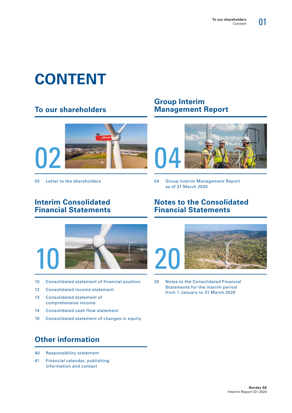# **CONTENT**

# **To our shareholders**



# **Group Interim Management Report**



02 Letter to the shareholders **04 Group Interim Management Report** as of 31 March 2020

# **Interim Consolidated Financial Statements**

# **Notes to the Consolidated Financial Statements**



- 10 Consolidated statement of financial position
- 12 Consolidated income statement
- 13 Consolidated statement of comprehensive income
- 14 Consolidated cash flow statement
- 16 Consolidated statement of changes in equity

# **Other information**

- 40 Responsibility statement
- 41 Financial calendar, publishing information and contact



20 Notes to the Consolidated Financial Statements for the interim period from 1 January to 31 March 2020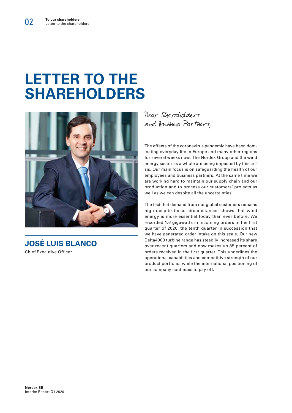# **LETTER TO THE SHAREHOLDERS**



**JOSÉ LUIS BLANCO** Chief Executive Officer

Dear Shareholders and Business Partners,

The effects of the coronavirus pandemic have been dominating everyday life in Europe and many other regions for several weeks now. The Nordex Group and the wind energy sector as a whole are being impacted by this crisis. Our main focus is on safeguarding the health of our employees and business partners. At the same time we are working hard to maintain our supply chain and our production and to process our customers' projects as well as we can despite all the uncertainties.

The fact that demand from our global customers remains high despite these circumstances shows that wind energy is more essential today than ever before. We recorded 1.6 gigawatts in incoming orders in the first quarter of 2020, the tenth quarter in succession that we have generated order intake on this scale. Our new Delta4000 turbine range has steadily increased its share over recent quarters and now makes up 85 percent of orders received in the first quarter. This underlines the operational capabilities and competitive strength of our product portfolio, while the international positioning of our company continues to pay off.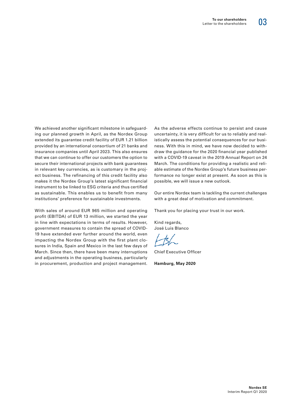We achieved another significant milestone in safeguarding our planned growth in April, as the Nordex Group extended its guarantee credit facility of EUR 1.21 billion provided by an international consortium of 21 banks and insurance companies until April 2023. This also ensures that we can continue to offer our customers the option to secure their international projects with bank guarantees in relevant key currencies, as is customary in the project business. The refinancing of this credit facility also makes it the Nordex Group's latest significant financial instrument to be linked to ESG criteria and thus certified as sustainable. This enables us to benefit from many institutions' preference for sustainable investments.

With sales of around EUR 965 million and operating profit (EBITDA) of EUR 13 million, we started the year in line with expectations in terms of results. However, government measures to contain the spread of COVID-19 have extended ever further around the world, even impacting the Nordex Group with the first plant closures in India, Spain and Mexico in the last few days of March. Since then, there have been many interruptions and adjustments in the operating business, particularly in procurement, production and project management. As the adverse effects continue to persist and cause uncertainty, it is very difficult for us to reliably and realistically assess the potential consequences for our business. With this in mind, we have now decided to withdraw the guidance for the 2020 financial year published with a COVID-19 caveat in the 2019 Annual Report on 24 March. The conditions for providing a realistic and reliable estimate of the Nordex Group's future business performance no longer exist at present. As soon as this is possible, we will issue a new outlook.

Our entire Nordex team is tackling the current challenges with a great deal of motivation and commitment.

Thank you for placing your trust in our work.

Kind regards, José Luis Blanco

Chief Executive Officer

**Hamburg, May 2020**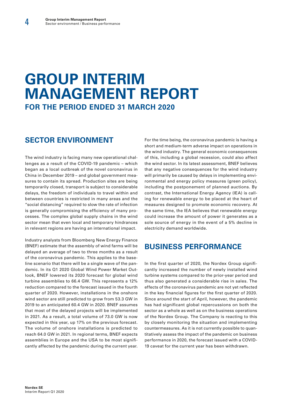# **GROUP INTERIM MANAGEMENT REPORT FOR THE PERIOD ENDED 31 MARCH 2020**

# **SECTOR ENVIRONMENT**

The wind industry is facing many new operational challenges as a result of the COVID-19 pandemic – which began as a local outbreak of the novel coronavirus in China in December 2019 – and global government measures to contain its spread. Production sites are being temporarily closed, transport is subject to considerable delays, the freedom of individuals to travel within and between countries is restricted in many areas and the "social distancing" required to slow the rate of infection is generally compromising the efficiency of many processes. The complex global supply chains in the wind sector mean that even local and temporary hindrances in relevant regions are having an international impact.

Industry analysts from Bloomberg New Energy Finance (BNEF) estimate that the assembly of wind farms will be delayed an average of two to three months as a result of the coronavirus pandemic. This applies to the baseline scenario that there will be a single wave of the pandemic. In its Q1 2020 Global Wind Power Market Outlook, BNEF lowered its 2020 forecast for global wind turbine assemblies to 66.4 GW. This represents a 12% reduction compared to the forecast issued in the fourth quarter of 2020. However, installations in the onshore wind sector are still predicted to grow from 53.3 GW in 2019 to an anticipated 60.4 GW in 2020. BNEF assumes that most of the delayed projects will be implemented in 2021. As a result, a total volume of 73.0 GW is now expected in this year, up 17% on the previous forecast. The volume of onshore installations is predicted to reach 64.0 GW in 2021. In regional terms, BNEF expects assemblies in Europe and the USA to be most significantly affected by the pandemic during the current year. For the time being, the coronavirus pandemic is having a short and medium-term adverse impact on operations in the wind industry. The general economic consequences of this, including a global recession, could also affect the wind sector. In its latest assessment, BNEF believes that any negative consequences for the wind industry will primarily be caused by delays in implementing environmental and energy policy measures (green policy), including the postponement of planned auctions. By contrast, the International Energy Agency (IEA) is calling for renewable energy to be placed at the heart of measures designed to promote economic recovery. At the same time, the IEA believes that renewable energy could increase the amount of power it generates as a sole source of energy in the event of a 5% decline in electricity demand worldwide.

# **BUSINESS PERFORMANCE**

In the first quarter of 2020, the Nordex Group significantly increased the number of newly installed wind turbine systems compared to the prior-year period and thus also generated a considerable rise in sales. The effects of the coronavirus pandemic are not yet reflected in the key financial figures for the first quarter of 2020. Since around the start of April, however, the pandemic has had significant global repercussions on both the sector as a whole as well as on the business operations of the Nordex Group. The Company is reacting to this by closely monitoring the situation and implementing countermeasures. As it is not currently possible to quantitatively assess the impact of the pandemic on business performance in 2020, the forecast issued with a COVID-19 caveat for the current year has been withdrawn.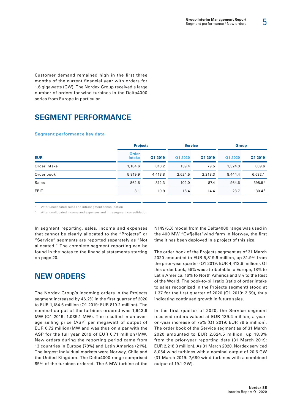5

Customer demand remained high in the first three months of the current financial year with orders for 1.6 gigawatts (GW). The Nordex Group received a large number of orders for wind turbines in the Delta4000 series from Europe in particular.

# **SEGMENT PERFORMANCE**

#### **Segment performance key data**

|              | <b>Projects</b>        |         | <b>Service</b> |         | <b>Group</b> |          |
|--------------|------------------------|---------|----------------|---------|--------------|----------|
| <b>EUR</b>   | <b>Order</b><br>intake | Q1 2019 | Q1 2020        | Q1 2019 | Q1 2020      | Q1 2019  |
| Order intake | 1,184.6                | 810.2   | 139.4          | 79.5    | 1,324.0      | 889.6    |
| Order book   | 5,819.9                | 4,413.8 | 2,624.5        | 2,218.3 | 8,444.4      | 6,632.1  |
| Sales        | 862.6                  | 312.3   | 102.0          | 87.4    | 964.6        | 398.91   |
| <b>EBIT</b>  | 3.1                    | 10.9    | 18.4           | 14.4    | $-23.7$      | $-30.42$ |

After unallocated sales and intrasegment consolidation

<sup>2</sup> After unallocated income and expenses and intrasegment consolidation

In segment reporting, sales, income and expenses that cannot be clearly allocated to the "Projects" or "Service" segments are reported separately as "Not allocated." The complete segment reporting can be found in the notes to the financial statements starting on page 20.

# **NEW ORDERS**

The Nordex Group's incoming orders in the Projects segment increased by 46.2% in the first quarter of 2020 to EUR 1,184.6 million (Q1 2019: EUR 810.2 million). The nominal output of the turbines ordered was 1,643.9 MW (Q1 2019: 1,035.1 MW). The resulted in an average selling price (ASP) per megawatt of output of EUR 0.72 million /MW and was thus on a par with the ASP for the full year 2019 of EUR 0.71 million / MW. New orders during the reporting period came from 13 countries in Europe (79%) and Latin America (21%). The largest individual markets were Norway, Chile and the United Kingdom. The Delta4000 range comprised 85% of the turbines ordered. The 5 MW turbine of the N149/5.X model from the Delta4000 range was used in the 400 MW "Oyfjellet"wind farm in Norway, the first time it has been deployed in a project of this size.

The order book of the Projects segment as of 31 March 2020 amounted to EUR 5,819.9 million, up 31.9% from the prior-year quarter (Q1 2019: EUR 4,413.8 million). Of this order book, 58% was attributable to Europe, 18% to Latin America, 16% to North America and 8% to the Rest of the World. The book-to-bill ratio (ratio of order intake to sales recognized in the Projects segment) stood at 1.37 for the first quarter of 2020 (Q1 2019: 2.59), thus indicating continued growth in future sales.

In the first quarter of 2020, the Service segment received orders valued at EUR 139.4 million, a yearon-year increase of 75% (Q1 2019: EUR 79.5 million). The order book of the Service segment as of 31 March 2020 amounted to EUR 2,624.5 million, up 18.3% from the prior-year reporting date (31 March 2019: EUR 2,218.3 million). As 31 March 2020, Nordex serviced 8,054 wind turbines with a nominal output of 20.6 GW (31 March 2019: 7,680 wind turbines with a combined output of 19.1 GW).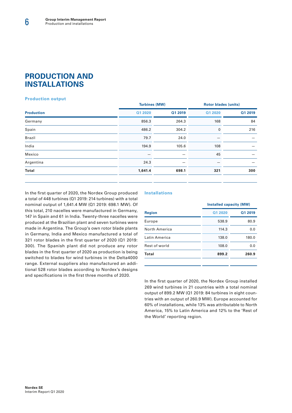# **PRODUCTION AND INSTALLATIONS**

## **Production output**

|                   |         | <b>Turbines (MW)</b> |         | <b>Rotor blades (units)</b> |  |
|-------------------|---------|----------------------|---------|-----------------------------|--|
| <b>Production</b> | Q1 2020 | Q1 2019              | Q1 2020 | Q1 2019                     |  |
| Germany           | 856.3   | 264.3                | 168     | 84                          |  |
| Spain             | 486.2   | 304.2                | 0       | 216                         |  |
| <b>Brazil</b>     | 79.7    | 24.0                 |         |                             |  |
| India             | 194.9   | 105.6                | 108     |                             |  |
| Mexico            |         |                      | 45      |                             |  |
| Argentina         | 24.3    |                      |         |                             |  |
| <b>Total</b>      | 1,641.4 | 698.1                | 321     | 300                         |  |
|                   |         |                      |         |                             |  |

In the first quarter of 2020, the Nordex Group produced a total of 448 turbines (Q1 2019: 214 turbines) with a total nominal output of 1,641.4 MW (Q1 2019: 698.1 MW). Of this total, 210 nacelles were manufactured in Germany, 147 in Spain and 61 in India. Twenty-three nacelles were produced at the Brazilian plant and seven turbines were made in Argentina. The Group's own rotor blade plants in Germany, India and Mexico manufactured a total of 321 rotor blades in the first quarter of 2020 (Q1 2019: 300). The Spanish plant did not produce any rotor blades in the first quarter of 2020 as production is being switched to blades for wind turbines in the Delta4000 range. External suppliers also manufactured an additional 528 rotor blades according to Nordex's designs and specifications in the first three months of 2020.

## **Installations**

|               |         | <b>Installed capacity (MW)</b> |  |  |
|---------------|---------|--------------------------------|--|--|
| <b>Region</b> | Q1 2020 | Q1 2019                        |  |  |
| Europe        | 538.9   | 80.9                           |  |  |
| North America | 114.3   | 0.0                            |  |  |
| Latin America | 138.0   | 180.0                          |  |  |
| Rest of world | 108.0   | 0.0                            |  |  |
| Total         | 899.2   | 260.9                          |  |  |
|               |         |                                |  |  |

In the first quarter of 2020, the Nordex Group installed 269 wind turbines in 21 countries with a total nominal output of 899.2 MW (Q1 2019: 84 turbines in eight countries with an output of 260.9 MW). Europe accounted for 60% of installations, while 13% was attributable to North America, 15% to Latin America and 12% to the 'Rest of the World' reporting region.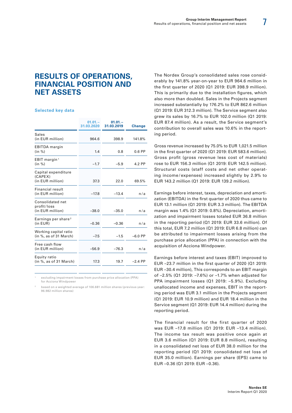# **RESULTS OF OPERATIONS, FINANCIAL POSITION AND NET ASSETS**

#### **Selected key data**

|                                                     | $01.01 -$<br>31.03.2020 | $01.01 -$<br>31.03.2019 | <b>Change</b> |
|-----------------------------------------------------|-------------------------|-------------------------|---------------|
| <b>Sales</b><br>(in EUR million)                    | 964.6                   | 398.9                   | 141.8%        |
| <b>EBITDA</b> margin<br>(in %)                      | 1.4                     | 0.8                     | $0.6$ PP      |
| EBIT margin <sup>1</sup><br>(in %)                  | $-1.7$                  | $-5.9$                  | 4.2 PP        |
| Capital expenditure<br>(CAPEX)<br>(in EUR million)  | 37.3                    | 22.0                    | 69.5%         |
| Financial result<br>(in EUR million)                | $-17.8$                 | $-13.4$                 | n/a           |
| Consolidated net<br>profit/loss<br>(in EUR million) | $-38.0$                 | $-35.0$                 | n/a           |
| Earnings per share <sup>2</sup><br>(in EUR)         | $-0.36$                 | $-0.36$                 | n/a           |
| Working capital ratio<br>(in %, as of 31 March)     | $-7.5$                  | $-1.5$                  | $-6.0$ PP     |
| Free cash flow<br>(in EUR million)                  | $-56.9$                 | $-76.3$                 | n/a           |
| Equity ratio<br>(in %, as of 31 March)              | 17.3                    | 19.7                    | $-2.4$ PP     |

excluding impairment losses from purchase price allocation (PPA) for Acciona Windpower

based on a weighted average of 106.681 million shares (previous year: 96.982 million shares)

The Nordex Group's consolidated sales rose considerably by 141.8% year-on-year to EUR 964.6 million in the first quarter of 2020 (Q1 2019: EUR 398.9 million). This is primarily due to the installation figures, which also more than doubled. Sales in the Projects segment increased substantially by 176.2% to EUR 862.6 million (Q1 2019: EUR 312.3 million). The Service segment also grew its sales by 16.7% to EUR 102.0 million (Q1 2019: EUR 87.4 million). As a result, the Service segment's contribution to overall sales was 10.6% in the reporting period.

Gross revenue increased by 75.0% to EUR 1,021.5 million in the first quarter of 2020 (Q1 2019: EUR 583.6 million). Gross profit (gross revenue less cost of materials) rose to EUR 156.3 million (Q1 2019: EUR 142.5 million). Structural costs (staff costs and net other operating income / expenses) increased slightly by 2.9% to EUR 143.2 million (Q1 2019: EUR 139.2 million).

Earnings before interest, taxes, depreciation and amortization (EBITDA) in the first quarter of 2020 thus came to EUR 13.1 million (Q1 2019: EUR 3.3 million). The EBITDA margin was 1.4% (Q1 2019: 0.8%). Depreciation, amortization and impairment losses totaled EUR 36.8 million in the reporting period (Q1 2019: EUR 33.6 million). Of this total, EUR 7.2 million (Q1 2019: EUR 6.8 million) can be attributed to impairment losses arising from the purchase price allocation (PPA) in connection with the acquisition of Acciona Windpower.

Earnings before interest and taxes (EBIT) improved to EUR –23.7 million in the first quarter of 2020 (Q1 2019: EUR –30.4 million), This corresponds to an EBIT margin of –2.5% (Q1 2019: –7.6%) or –1.7% when adjusted for PPA impairment losses (Q1 2019: –5.9%). Excluding unallocated income and expenses, EBIT in the reporting period was EUR 3.1 million in the Projects segment (Q1 2019: EUR 10.9 million) and EUR 18.4 million in the Service segment (Q1 2019: EUR 14.4 million) during the reporting period.

The financial result for the first quarter of 2020 was EUR –17.8 million (Q1 2019: EUR –13.4 million). The income tax result was positive once again at EUR 3.6 million (Q1 2019: EUR 8.8 million), resulting in a consolidated net loss of EUR 38.0 million for the reporting period (Q1 2019: consolidated net loss of EUR 35.0 million). Earnings per share (EPS) came to EUR –0.36 (Q1 2019: EUR –0.36).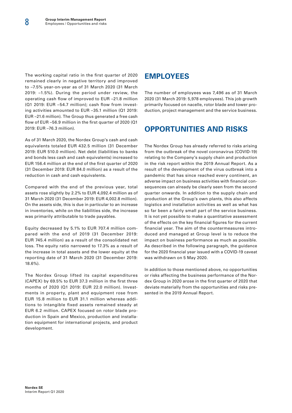The working capital ratio in the first quarter of 2020 remained clearly in negative territory and improved to –7.5% year-on-year as of 31 March 2020 (31 March 2019: –1.5%). During the period under review, the operating cash flow of improved to EUR –21.8 million (Q1 2019: EUR –54.7 million); cash flow from investing activities amounted to EUR –35.1 million (Q1 2019: EUR –21.6 million). The Group thus generated a free cash flow of EUR –56.9 million in the first quarter of 2020 (Q1 2019: EUR –76.3 million).

As of 31 March 2020, the Nordex Group's cash and cash equivalents totaled EUR 432.5 million (31 December 2019: EUR 510.0 million). Net debt (liabilities to banks and bonds less cash and cash equivalents) increased to EUR 156.4 million at the end of the first quarter of 2020 (31 December 2019: EUR 84.0 million) as a result of the reduction in cash and cash equivalents.

Compared with the end of the previous year, total assets rose slightly by 2.2% to EUR 4,092.4 million as of 31 March 2020 (31 December 2019: EUR 4,002.8 million). On the assets side, this is due in particular to an increase in inventories, while on the liabilities side, the increase was primarily attributable to trade payables.

Equity decreased by 5.1% to EUR 707.4 million compared with the end of 2019 (31 December 2019: EUR 745.4 million) as a result of the consolidated net loss. The equity ratio narrowed to 17.3% as a result of the increase in total assets and the lower equity at the reporting date of 31 March 2020 (31 December 2019: 18.6%).

The Nordex Group lifted its capital expenditures (CAPEX) by 69.5% to EUR 37.3 million in the first three months of 2020 (Q1 2019: EUR 22.0 million). Investments in property, plant and equipment rose from EUR 15.8 million to EUR 31.1 million whereas additions to intangible fixed assets remained steady at EUR 6.2 million. CAPEX focused on rotor blade production in Spain and Mexico, production and installation equipment for international projects, and product development.

# **EMPLOYEES**

The number of employees was 7,496 as of 31 March 2020 (31 March 2019: 5,978 employees). This job growth primarily focused on nacelle, rotor blade and tower production, project management and the service business.

# **OPPORTUNITIES AND RISKS**

The Nordex Group has already referred to risks arising from the outbreak of the novel coronavirus (COVID-19) relating to the Company's supply chain and production in the risk report within the 2019 Annual Report. As a result of the development of the virus outbreak into a pandemic that has since reached every continent, an adverse impact on business activities with financial consequences can already be clearly seen from the second quarter onwards. In addition to the supply chain and production at the Group's own plants, this also affects logistics and installation activities as well as what has so far been a fairly small part of the service business. It is not yet possible to make a quantitative assessment of the effects on the key financial figures for the current financial year. The aim of the countermeasures introduced and managed at Group level is to reduce the impact on business performance as much as possible. As described in the following paragraph, the guidance for the 2020 financial year issued with a COVID-19 caveat was withdrawn on 5 May 2020.

In addition to those mentioned above, no opportunities or risks affecting the business performance of the Nordex Group in 2020 arose in the first quarter of 2020 that deviate materially from the opportunities and risks presented in the 2019 Annual Report.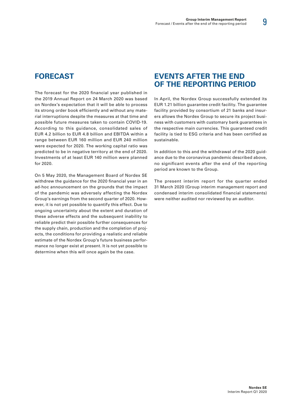# **FORECAST**

The forecast for the 2020 financial year published in the 2019 Annual Report on 24 March 2020 was based on Nordex's expectation that it will be able to process its strong order book efficiently and without any material interruptions despite the measures at that time and possible future measures taken to contain COVID-19. According to this guidance, consolidated sales of EUR 4.2 billion to EUR 4.8 billion and EBITDA within a range between EUR 160 million and EUR 240 million were expected for 2020. The working capital ratio was predicted to be in negative territory at the end of 2020. Investments of at least EUR 140 million were planned for 2020.

On 5 May 2020, the Management Board of Nordex SE withdrew the guidance for the 2020 financial year in an ad-hoc announcement on the grounds that the impact of the pandemic was adversely affecting the Nordex Group's earnings from the second quarter of 2020. However, it is not yet possible to quantify this effect. Due to ongoing uncertainty about the extent and duration of these adverse effects and the subsequent inability to reliable predict their possible further consequences for the supply chain, production and the completion of projects, the conditions for providing a realistic and reliable estimate of the Nordex Group's future business performance no longer exist at present. It is not yet possible to determine when this will once again be the case.

# **EVENTS AFTER THE END OF THE REPORTING PERIOD**

In April, the Nordex Group successfully extended its EUR 1.21 billion guarantee credit facility. The guarantee facility provided by consortium of 21 banks and insurers allows the Nordex Group to secure its project business with customers with customary bank guarantees in the respective main currencies. This guaranteed credit facility is tied to ESG criteria and has been certified as sustainable.

In addition to this and the withdrawal of the 2020 guidance due to the coronavirus pandemic described above, no significant events after the end of the reporting period are known to the Group.

The present interim report for the quarter ended 31 March 2020 (Group interim management report and condensed interim consolidated financial statements) were neither audited nor reviewed by an auditor.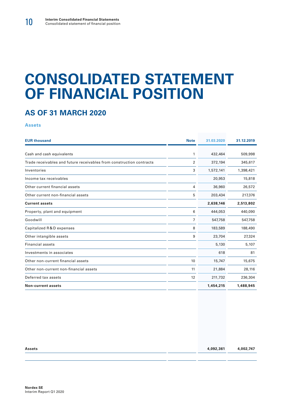# **CONSOLIDATED STATEMENT OF FINANCIAL POSITION**

# **AS OF 31 MARCH 2020**

**Assets**

| <b>EUR thousand</b>                                                  | <b>Note</b>    | 31.03.2020 | 31.12.2019 |
|----------------------------------------------------------------------|----------------|------------|------------|
|                                                                      |                |            |            |
| Cash and cash equivalents                                            | 1              | 432,464    | 509,998    |
| Trade receivables and future receivables from construction contracts | 2              | 372,194    | 345,617    |
| Inventories                                                          | 3              | 1,572,141  | 1,398,421  |
| Income tax receivables                                               |                | 20,953     | 15,818     |
| Other current financial assets                                       | 4              | 36,960     | 26,572     |
| Other current non-financial assets                                   | 5              | 203,434    | 217,376    |
| <b>Current assets</b>                                                |                | 2,638,146  | 2,513,802  |
| Property, plant and equipment                                        | 6              | 444,053    | 440,090    |
| Goodwill                                                             | $\overline{7}$ | 547,758    | 547,758    |
| Capitalized R&D expenses                                             | 8              | 183,589    | 188,490    |
| Other intangible assets                                              | 9              | 23,704     | 27,324     |
| <b>Financial assets</b>                                              |                | 5,130      | 5,107      |
| Investments in associates                                            |                | 618        | 81         |
| Other non-current financial assets                                   | 10             | 15,747     | 15,675     |
| Other non-current non-financial assets                               | 11             | 21,884     | 28,116     |
| Deferred tax assets                                                  | 12             | 211,732    | 236,304    |
| <b>Non-current assets</b>                                            |                | 1,454,215  | 1,488,945  |

| <b>Assets</b> | 4,092,361 | 4,002,747 |
|---------------|-----------|-----------|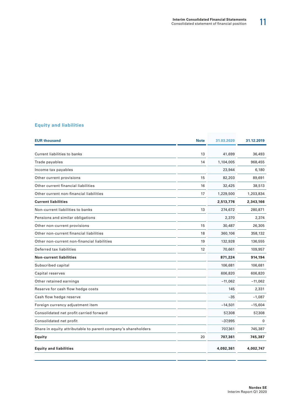# **Equity and liabilities**

| <b>EUR thousand</b>                                           | <b>Note</b> | 31.03.2020 | 31.12.2019   |
|---------------------------------------------------------------|-------------|------------|--------------|
| Current liabilities to banks                                  | 13          | 41,699     | 36,493       |
| Trade payables                                                | 14          | 1,104,005  | 968,455      |
| Income tax payables                                           |             | 23,944     | 6,180        |
| Other current provisions                                      | 15          | 82,203     | 89,691       |
| Other current financial liabilities                           | 16          | 32,425     | 38,513       |
| Other current non-financial liabilities                       | 17          | 1,229,500  | 1,203,834    |
| <b>Current liabilities</b>                                    |             | 2,513,776  | 2,343,166    |
| Non-current liabilities to banks                              | 13          | 274,672    | 280,871      |
| Pensions and similar obligations                              |             | 2,370      | 2,374        |
| Other non-current provisions                                  | 15          | 30,487     | 26,305       |
| Other non-current financial liabilities                       | 18          | 360,106    | 358,132      |
| Other non-current non-financial liabilities                   | 19          | 132,928    | 136,555      |
| Deferred tax liabilities                                      | 12          | 70,661     | 109,957      |
| <b>Non-current liabilities</b>                                |             | 871,224    | 914,194      |
| Subscribed capital                                            |             | 106,681    | 106,681      |
| Capital reserves                                              |             | 606,820    | 606,820      |
| Other retained earnings                                       |             | $-11,062$  | $-11,062$    |
| Reserve for cash flow hedge costs                             |             | 145        | 2,331        |
| Cash flow hedge reserve                                       |             | $-35$      | $-1,087$     |
| Foreign currency adjustment item                              |             | $-14,501$  | $-15,604$    |
| Consolidated net profit carried forward                       |             | 57,308     | 57,308       |
| Consolidated net profit                                       |             | $-37,995$  | $\mathbf{0}$ |
| Share in equity attributable to parent company's shareholders |             | 707,361    | 745,387      |
| Equity                                                        | 20          | 707,361    | 745,387      |
| <b>Equity and liabilities</b>                                 |             | 4,092,361  | 4,002,747    |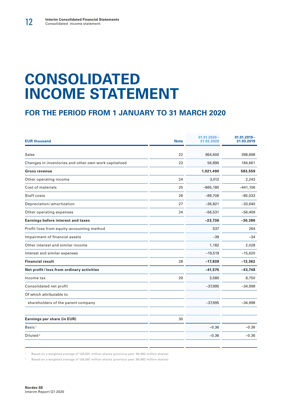# **CONSOLIDATED INCOME STATEMENT**

# **FOR THE PERIOD FROM 1 JANUARY TO 31 MARCH 2020**

| <b>EUR thousand</b>                                   | <b>Note</b> | $01.01.2020 -$<br>31.03.2020 | $01.01.2019 -$<br>31.03.2019 |
|-------------------------------------------------------|-------------|------------------------------|------------------------------|
| <b>Sales</b>                                          | 22          | 964,600                      | 398,898                      |
| Changes in inventories and other own work capitalized | 23          | 56,890                       | 184,661                      |
| <b>Gross revenue</b>                                  |             | 1,021,490                    | 583,559                      |
| Other operating income                                | 24          | 3,012                        | 2,243                        |
| Cost of materials                                     | 25          | $-865,180$                   | $-441,106$                   |
| Staff costs                                           | 26          | $-89,706$                    | $-85,033$                    |
| Depreciation/amortization                             | 27          | $-36,821$                    | $-33,640$                    |
| Other operating expenses                              | 24          | $-56,531$                    | $-56,409$                    |
| <b>Earnings before interest and taxes</b>             |             | $-23,736$                    | $-30,386$                    |
| Profit/loss from equity-accounting method             |             | 537                          | 264                          |
| Impairment of financial assets                        |             | $-39$                        | $-34$                        |
| Other interest and similar income                     |             | 1,182                        | 2,028                        |
| Interest and similar expenses                         |             | $-19,519$                    | $-15,620$                    |
| <b>Financial result</b>                               | 28          | $-17,839$                    | $-13,362$                    |
| Net profit/loss from ordinary activities              |             | $-41,575$                    | $-43,748$                    |
| Income tax                                            | 29          | 3,580                        | 8,750                        |
| Consolidated net profit                               |             | $-37,995$                    | $-34,998$                    |
| Of which attributable to                              |             |                              |                              |
| shareholders of the parent company                    |             | $-37,995$                    | $-34,998$                    |
| Earnings per share (in EUR)                           | 30          |                              |                              |
| Basic <sup>1</sup>                                    |             | $-0.36$                      | $-0.36$                      |
| Diluted <sup>2</sup>                                  |             | $-0.36$                      | $-0.36$                      |
|                                                       |             |                              |                              |

<sup>1</sup> Based on a weighted average of 106,681 million shares (previous year: 96.982 million shares)

<sup>2</sup> Based on a weighted average of 106,681 million shares (previous year: 96.982 million shares)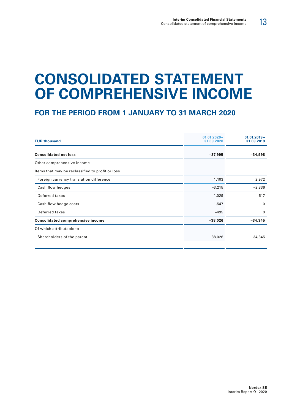# **CONSOLIDATED STATEMENT OF COMPREHENSIVE INCOME**

| <b>EUR thousand</b>                              | $01.01.2020 -$<br>31.03.2020 | $01.01.2019 -$<br>31.03.2019 |
|--------------------------------------------------|------------------------------|------------------------------|
| <b>Consolidated net loss</b>                     | $-37,995$                    | $-34,998$                    |
| Other comprehensive income                       |                              |                              |
| Items that may be reclassified to profit or loss |                              |                              |
| Foreign currency translation difference          | 1,103                        | 2,972                        |
| Cash flow hedges                                 | $-3,215$                     | $-2,836$                     |
| Deferred taxes                                   | 1,029                        | 517                          |
| Cash flow hedge costs                            | 1,547                        | $\mathbf{0}$                 |
| Deferred taxes                                   | $-495$                       | $\mathbf{0}$                 |
| <b>Consolidated comprehensive income</b>         | $-38,026$                    | $-34,345$                    |
| Of which attributable to                         |                              |                              |
| Shareholders of the parent                       | $-38,026$                    | $-34,345$                    |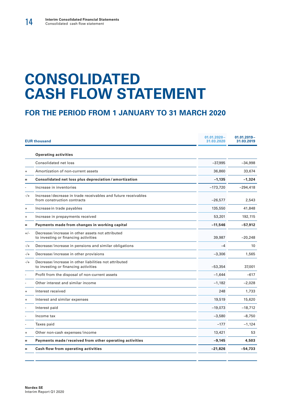# **CONSOLIDATED CASH FLOW STATEMENT**

|           | <b>EUR thousand</b>                                                                           | $01.01.2020 -$<br>31.03.2020 | $01.01.2019 -$<br>31.03.2019 |  |
|-----------|-----------------------------------------------------------------------------------------------|------------------------------|------------------------------|--|
|           | <b>Operating activities</b>                                                                   |                              |                              |  |
|           | Consolidated net loss                                                                         | $-37,995$                    | $-34,998$                    |  |
| $\ddot{}$ | Amortization of non-current assets                                                            | 36,860                       | 33,674                       |  |
| =         | Consolidated net loss plus depreciation / amortization                                        | $-1,135$                     | $-1,324$                     |  |
|           | Increase in inventories                                                                       | $-173,720$                   | $-294,418$                   |  |
| $-/+$     | Increase/decrease in trade receivables and future receivables<br>from construction contracts  | $-26,577$                    | 2,543                        |  |
| $\ddot{}$ | Increase in trade payables                                                                    | 135,550                      | 41,848                       |  |
| $\ddot{}$ | Increase in prepayments received                                                              | 53,201                       | 192,115                      |  |
| Ξ.        | Payments made from changes in working capital                                                 | $-11,546$                    | $-57,912$                    |  |
| $+/-$     | Decrease/increase in other assets not attributed<br>to investing or financing activities      | 39,987                       | $-20,248$                    |  |
| $-/-$     | Decrease/increase in pensions and similar obligations                                         | $-4$                         | 10                           |  |
| -/+       | Decrease/increase in other provisions                                                         | $-3,306$                     | 1,565                        |  |
| $-/-$     | Decrease/increase in other liabilities not attributed<br>to investing or financing activities | $-53,354$                    | 37,001                       |  |
|           | Profit from the disposal of non-current assets                                                | $-1,644$                     | $-617$                       |  |
|           | Other interest and similar income                                                             | $-1,182$                     | $-2,028$                     |  |
| $\ddot{}$ | Interest received                                                                             | 248                          | 1,733                        |  |
| $\ddot{}$ | Interest and similar expenses                                                                 | 19,519                       | 15,620                       |  |
|           | Interest paid                                                                                 | $-19,073$                    | $-18,712$                    |  |
|           | Income tax                                                                                    | $-3,580$                     | $-8,750$                     |  |
|           | Taxes paid                                                                                    | $-177$                       | $-1,124$                     |  |
| $\ddot{}$ | Other non-cash expenses/income                                                                | 13,421                       | 53                           |  |
| =         | Payments made/received from other operating activities                                        | $-9,145$                     | 4,503                        |  |
| =         | Cash flow from operating activities                                                           | $-21,826$                    | $-54,733$                    |  |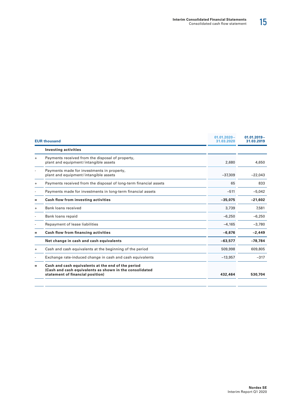|                | <b>EUR thousand</b>                                                                                                                               | $01.01.2020 -$<br>31.03.2020 | $01.01.2019 -$<br>31.03.2019 |
|----------------|---------------------------------------------------------------------------------------------------------------------------------------------------|------------------------------|------------------------------|
|                | <b>Investing activities</b>                                                                                                                       |                              |                              |
| $+$            | Payments received from the disposal of property,<br>plant and equipment/intangible assets                                                         | 2,680                        | 4,650                        |
|                | Payments made for investments in property,<br>plant and equipment/intangible assets                                                               | $-37,309$                    | $-22,043$                    |
| $\ddot{}$      | Payments received from the disposal of long-term financial assets                                                                                 | 65                           | 833                          |
| $\overline{a}$ | Payments made for investments in long-term financial assets                                                                                       | $-511$                       | $-5,042$                     |
| =              | Cash flow from investing activities                                                                                                               | $-35,075$                    | $-21.602$                    |
| $\ddot{}$      | Bank loans received                                                                                                                               | 3,739                        | 7,581                        |
|                | Bank loans repaid                                                                                                                                 | $-6,250$                     | $-6,250$                     |
|                | Repayment of lease liabilities                                                                                                                    | $-4.165$                     | $-3.780$                     |
| $=$            | Cash flow from financing activities                                                                                                               | $-6,676$                     | $-2.449$                     |
|                | Net change in cash and cash equivalents                                                                                                           | $-63,577$                    | $-78,784$                    |
| $\ddot{}$      | Cash and cash equivalents at the beginning of the period                                                                                          | 509,998                      | 609,805                      |
|                | Exchange rate-induced change in cash and cash equivalents                                                                                         | $-13,957$                    | $-317$                       |
| $=$            | Cash and cash equivalents at the end of the period<br>(Cash and cash equivalents as shown in the consolidated<br>statement of financial position) | 432,464                      | 530,704                      |
|                |                                                                                                                                                   |                              |                              |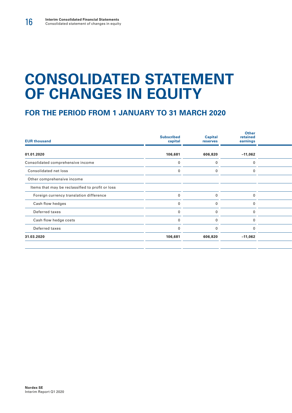# **CONSOLIDATED STATEMENT OF CHANGES IN EQUITY**

| <b>EUR thousand</b>                              | <b>Subscribed</b><br>capital | <b>Capital</b><br>reserves | <b>Other</b><br>retained<br>earnings |  |  |
|--------------------------------------------------|------------------------------|----------------------------|--------------------------------------|--|--|
| 01.01.2020                                       | 106,681                      | 606,820                    | $-11,062$                            |  |  |
| Consolidated comprehensive income                |                              |                            | 0                                    |  |  |
| Consolidated net loss                            |                              |                            |                                      |  |  |
| Other comprehensive income                       |                              |                            |                                      |  |  |
| Items that may be reclassified to profit or loss |                              |                            |                                      |  |  |
| Foreign currency translation difference          |                              |                            |                                      |  |  |
| Cash flow hedges                                 |                              |                            | 0                                    |  |  |
| Deferred taxes                                   |                              |                            |                                      |  |  |
| Cash flow hedge costs                            |                              |                            |                                      |  |  |
| Deferred taxes                                   |                              |                            |                                      |  |  |
| 31.03.2020                                       | 106,681                      | 606,820                    | $-11,062$                            |  |  |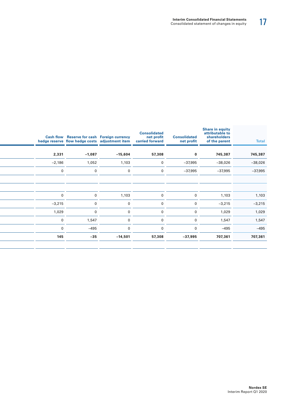| <b>Total</b> | <b>Share in equity</b><br>attributable to<br>shareholders<br>of the parent | <b>Consolidated</b><br>net profit | <b>Consolidated</b><br>net profit<br>carried forward | hedge reserve flow hedge costs adjustment item | Cash flow Reserve for cash Foreign currency |              |
|--------------|----------------------------------------------------------------------------|-----------------------------------|------------------------------------------------------|------------------------------------------------|---------------------------------------------|--------------|
|              |                                                                            |                                   |                                                      |                                                |                                             |              |
| 745,387      | 745,387                                                                    | $\mathbf{0}$                      | 57,308                                               | $-15,604$                                      | $-1,087$                                    | 2,331        |
| $-38,026$    | $-38,026$                                                                  | $-37,995$                         | $\mathbf 0$                                          | 1,103                                          | 1,052                                       | $-2,186$     |
| $-37,995$    | $-37,995$                                                                  | $-37,995$                         | $\mathbf{0}$                                         | $\mathbf 0$                                    | $\Omega$                                    | $\mathbf 0$  |
|              |                                                                            |                                   |                                                      |                                                |                                             |              |
|              |                                                                            |                                   |                                                      |                                                |                                             |              |
| 1,103        | 1,103                                                                      | $\overline{0}$                    |                                                      | 1,103                                          | $\Omega$                                    | $\mathbf 0$  |
| $-3,215$     | $-3,215$                                                                   | $\mathbf{0}$                      | $\Omega$                                             | $\mathbf 0$                                    | $\Omega$                                    | $-3,215$     |
| 1,029        | 1,029                                                                      | $\mathbf{0}$                      |                                                      | $\mathbf{0}$                                   | $\Omega$                                    | 1,029        |
| 1,547        | 1,547                                                                      | $\Omega$                          | $\Omega$                                             | $\Omega$                                       | 1,547                                       | $\mathbf{0}$ |
| $-495$       | $-495$                                                                     | $\Omega$                          |                                                      | $\Omega$                                       | $-495$                                      | $\mathbf{0}$ |
| 707,361      | 707,361                                                                    | $-37,995$                         | 57,308                                               | $-14,501$                                      | $-35$                                       | 145          |
|              |                                                                            |                                   |                                                      |                                                |                                             |              |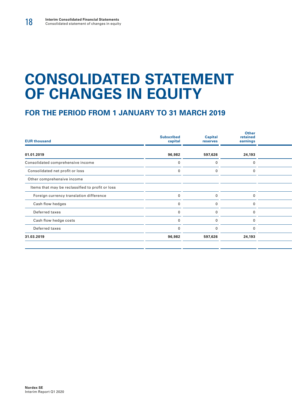# **CONSOLIDATED STATEMENT OF CHANGES IN EQUITY**

| <b>EUR thousand</b>                              | <b>Subscribed</b><br>capital | <b>Capital</b><br>reserves | <b>Other</b><br>retained<br>earnings |  |  |
|--------------------------------------------------|------------------------------|----------------------------|--------------------------------------|--|--|
| 01.01.2019                                       | 96,982                       | 597,626                    | 24,193                               |  |  |
| Consolidated comprehensive income                |                              |                            | $\Omega$                             |  |  |
| Consolidated net profit or loss                  |                              |                            | 0                                    |  |  |
| Other comprehensive income                       |                              |                            |                                      |  |  |
| Items that may be reclassified to profit or loss |                              |                            |                                      |  |  |
| Foreign currency translation difference          |                              |                            | $\Omega$                             |  |  |
| Cash flow hedges                                 |                              |                            |                                      |  |  |
| Deferred taxes                                   |                              |                            |                                      |  |  |
| Cash flow hedge costs                            |                              |                            |                                      |  |  |
| Deferred taxes                                   |                              |                            | $\Omega$                             |  |  |
| 31.03.2019                                       | 96,982                       | 597,626                    | 24,193                               |  |  |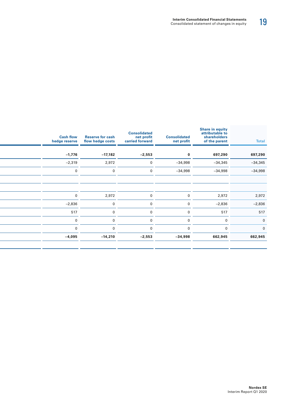| <b>Total</b>   | <b>Share in equity</b><br>attributable to<br>shareholders<br>of the parent | <b>Consolidated</b><br>net profit | <b>Consolidated</b><br>net profit<br>carried forward | <b>Reserve for cash</b><br>flow hedge costs | <b>Cash flow</b><br>hedge reserve |
|----------------|----------------------------------------------------------------------------|-----------------------------------|------------------------------------------------------|---------------------------------------------|-----------------------------------|
|                |                                                                            |                                   |                                                      |                                             |                                   |
| 697,290        | 697,290                                                                    | $\mathbf{0}$                      | $-2,553$                                             | $-17,182$                                   | $-1,776$                          |
| $-34,345$      | $-34,345$                                                                  | $-34,998$                         | $\mathbf{0}$                                         | 2,972                                       | $-2,319$                          |
| $-34,998$      | $-34,998$                                                                  | $-34,998$                         | $\mathbf{0}$                                         | $\Omega$                                    | $\overline{0}$                    |
|                |                                                                            |                                   |                                                      |                                             |                                   |
|                |                                                                            |                                   |                                                      |                                             |                                   |
| 2,972          | 2,972                                                                      | $\overline{0}$                    | $\mathbf 0$                                          | 2,972                                       | $\overline{0}$                    |
| $-2,836$       | $-2,836$                                                                   |                                   |                                                      |                                             | $-2,836$                          |
| 517            | 517                                                                        |                                   |                                                      | $\Omega$                                    | 517                               |
| $\overline{0}$ | $\Omega$                                                                   |                                   |                                                      | $\Omega$                                    | $\Omega$                          |
|                |                                                                            |                                   |                                                      | $\Omega$                                    | $\Omega$                          |
| 662,945        | 662,945                                                                    | $-34,998$                         | $-2,553$                                             | $-14,210$                                   | $-4,095$                          |
|                |                                                                            |                                   |                                                      |                                             |                                   |

J.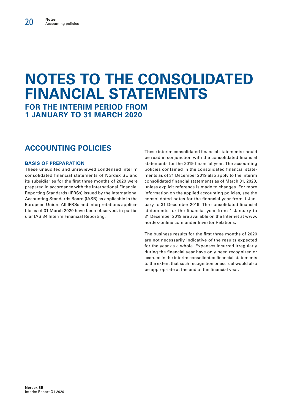# **NOTES TO THE CONSOLIDATED FINANCIAL STATEMENTS FOR THE INTERIM PERIOD FROM**

**1 JANUARY TO 31 MARCH 2020**

# **ACCOUNTING POLICIES**

## **BASIS OF PREPARATION**

These unaudited and unreviewed condensed interim consolidated financial statements of Nordex SE and its subsidiaries for the first three months of 2020 were prepared in accordance with the International Financial Reporting Standards (IFRSs) issued by the International Accounting Standards Board (IASB) as applicable in the European Union. All IFRSs and interpretations applicable as of 31 March 2020 have been observed, in particular IAS 34 Interim Financial Reporting.

These interim consolidated financial statements should be read in conjunction with the consolidated financial statements for the 2019 financial year. The accounting policies contained in the consolidated financial statements as of 31 December 2019 also apply to the interim consolidated financial statements as of March 31, 2020, unless explicit reference is made to changes. For more information on the applied accounting policies, see the consolidated notes for the financial year from 1 January to 31 December 2019. The consolidated financial statements for the financial year from 1 January to 31 December 2019 are available on the Internet at www. nordex-online.com under Investor Relations.

The business results for the first three months of 2020 are not necessarily indicative of the results expected for the year as a whole. Expenses incurred irregularly during the financial year have only been recognized or accrued in the interim consolidated financial statements to the extent that such recognition or accrual would also be appropriate at the end of the financial year.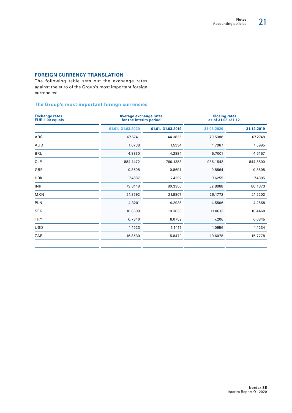# **FOREIGN CURRENCY TRANSLATION**

The following table sets out the exchange rates against the euro of the Group's most important foreign currencies:

## **The Group's most important foreign currencies**

| <b>Exchange rates</b><br>EUR 1.00 equals |                     | <b>Average exchange rates</b><br>for the interim period |            | <b>Closing rates</b><br>as of 31.03./31.12. |
|------------------------------------------|---------------------|---------------------------------------------------------|------------|---------------------------------------------|
|                                          | 01.01. - 31.03.2020 | 01.01. - 31.03.2019                                     | 31.03.2020 | 31.12.2019                                  |
| ARS                                      | 67.6741             | 44.3835                                                 | 70.5388    | 67.2748                                     |
| <b>AUD</b>                               | 1.6738              | 1.5934                                                  | 1.7967     | 1.5995                                      |
| <b>BRL</b>                               | 4.8830              | 4.2884                                                  | 5.7001     | 4.5157                                      |
| <b>CLP</b>                               | 884.1472            | 760.1383                                                | 936.1542   | 844.8800                                    |
| GBP                                      | 0.8608              | 0.8691                                                  | 0.8864     | 0.8508                                      |
| <b>HRK</b>                               | 7.4887              | 7.4252                                                  | 7.6255     | 7.4395                                      |
| <b>INR</b>                               | 79.8148             | 80.3356                                                 | 82.8988    | 80.1873                                     |
| <b>MXN</b>                               | 21.8592             | 21.9807                                                 | 26.1772    | 21.2202                                     |
| <b>PLN</b>                               | 4.3201              | 4.2938                                                  | 4.5506     | 4.2568                                      |
| <b>SEK</b>                               | 10.6609             | 10.3838                                                 | 11.0613    | 10.4468                                     |
| <b>TRY</b>                               | 6.7340              | 6.0752                                                  | 7.206      | 6.6845                                      |
| <b>USD</b>                               | 1.1023              | 1.1417                                                  | 1.0956     | 1.1234                                      |
| ZAR                                      | 16.8530             | 15.8479                                                 | 19.6078    | 15.7778                                     |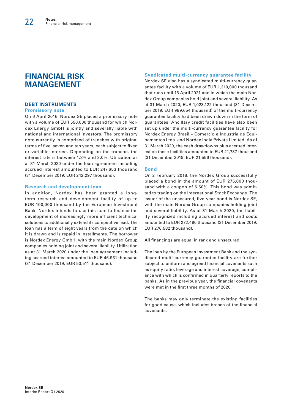# **FINANCIAL RISK MANAGEMENT**

## **DEBT INSTRUMENTS**

#### **Promissory note**

On 6 April 2016, Nordex SE placed a promissory note with a volume of EUR 550,000 thousand for which Nordex Energy GmbH is jointly and severally liable with national and international investors. The promissory note currently is comprised of tranches with original terms of five, seven and ten years, each subject to fixed or variable interest. Depending on the tranche, the interest rate is between 1.8% and 3.0%. Utilization as at 31 March 2020 under the loan agreement including accrued interest amounted to EUR 247,653 thousand (31 December 2019: EUR 242,297 thousand).

#### **Research and development loan**

In addition, Nordex has been granted a longterm research and development facility of up to EUR 100,000 thousand by the European Investment Bank. Nordex intends to use this loan to finance the development of increasingly more efficient technical solutions to additionally extend its competitive lead. The loan has a term of eight years from the date on which it is drawn and is repaid in installments. The borrower is Nordex Energy GmbH, with the main Nordex Group companies holding joint and several liability. Utilization as at 31 March 2020 under the loan agreement including accrued interest amounted to EUR 46,931 thousand (31 December 2019: EUR 53,511 thousand).

#### **Syndicated multi-currency guarantee facility**

Nordex SE also has a syndicated multi-currency guarantee facility with a volume of EUR 1,210,000 thousand that runs until 15 April 2021 and in which the main Nordex Group companies hold joint and several liability. As at 31 March 2020, EUR 1,023,122 thousand (31 December 2019: EUR 989,654 thousand) of the multi-currency guarantee facility had been drawn down in the form of guarantees. Ancillary credit facilities have also been set up under the multi-currency guarantee facility for Nordex Energy Brasil – Comercio e Industria de Equipamentos Ltda. and Nordex India Private Limited. As of 31 March 2020, the cash drawdowns plus accrued interest on these facilities amounted to EUR 21,787 thousand (31 December 2019: EUR 21,556 thousand).

#### **Bond**

On 2 February 2018, the Nordex Group successfully placed a bond in the amount of EUR 275,000 thousand with a coupon of 6.50%. This bond was admitted to trading on the International Stock Exchange. The issuer of the unsecured, five-year bond is Nordex SE, with the main Nordex Group companies holding joint and several liability. As at 31 March 2020, the liability recognized including accrued interest and costs amounted to EUR 272,490 thousand (31 December 2019: EUR 276,582 thousand).

All financings are equal in rank and unsecured.

The loan by the European Investment Bank and the syndicated multi-currency guarantee facility are further subject to uniform and agreed financial covenants such as equity ratio, leverage and interest coverage, compliance with which is confirmed in quarterly reports to the banks. As in the previous year, the financial covenants were met in the first three months of 2020.

The banks may only terminate the existing facilities for good cause, which includes breach of the financial covenants.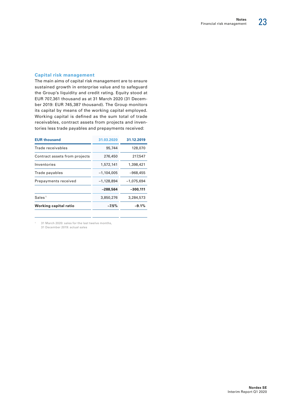#### **Capital risk management**

The main aims of capital risk management are to ensure sustained growth in enterprise value and to safeguard the Group's liquidity and credit rating. Equity stood at EUR 707,361 thousand as at 31 March 2020 (31 December 2019: EUR 745,387 thousand). The Group monitors its capital by means of the working capital employed. Working capital is defined as the sum total of trade receivables, contract assets from projects and inventories less trade payables and prepayments received:

| <b>EUR thousand</b>           | 31.03.2020   | 31.12.2019   |
|-------------------------------|--------------|--------------|
| Trade receivables             | 95,744       | 128,070      |
| Contract assets from projects | 276,450      | 217,547      |
| Inventories                   | 1,572,141    | 1,398,421    |
| Trade payables                | $-1,104,005$ | $-968,455$   |
| Prepayments received          | $-1,128,894$ | $-1.075.694$ |
|                               | $-288.564$   | $-300,111$   |
| Sales <sup>1</sup>            | 3,850,276    | 3,284,573    |
| Working capital ratio         | $-7.5%$      | $-9.1%$      |
|                               |              |              |

1 31 March 2020: sales for the last twelve months,

31 December 2019: actual sales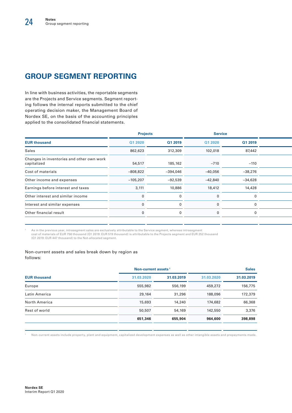# **GROUP SEGMENT REPORTING**

In line with business activities, the reportable segments are the Projects and Service segments. Segment reporting follows the internal reports submitted to the chief operating decision maker, the Management Board of Nordex SE, on the basis of the accounting principles applied to the consolidated financial statements.

|                                                          | <b>Projects</b> |            | <b>Service</b> |           |  |
|----------------------------------------------------------|-----------------|------------|----------------|-----------|--|
| <b>EUR thousand</b>                                      | Q1 2020         | Q1 2019    | Q1 2020        | Q1 2019   |  |
| Sales                                                    | 862,623         | 312,309    | 102,018        | 87,442    |  |
| Changes in inventories and other own work<br>capitalized | 54,517          | 185,162    | $-710$         | $-110$    |  |
| Cost of materials                                        | $-808,822$      | $-394,046$ | $-40,056$      | -38,276   |  |
| Other income and expenses                                | $-105,207$      | $-92,539$  | $-42,840$      | $-34,628$ |  |
| Earnings before interest and taxes                       | 3,111           | 10,886     | 18,412         | 14,428    |  |
| Other interest and similar income                        |                 |            |                |           |  |
| Interest and similar expenses                            |                 |            |                |           |  |
| Other financial result                                   |                 |            | $\Omega$       |           |  |

As in the previous year, intrasegment sales are exclusively attributable to the Service segment, whereas intrasegment cost of materials of EUR 756 thousand (Q1 2019: EUR 519 thousand) is attributable to the Projects segment and EUR 252 thousand (Q1 2019: EUR 447 thousand) to the Not-allocated segment.

#### Non-current assets and sales break down by region as follows:

|                     | Non-current assets <sup>1</sup> |            | <b>Sales</b> |            |  |
|---------------------|---------------------------------|------------|--------------|------------|--|
| <b>EUR thousand</b> | 31.03.2020                      | 31.03.2019 | 31.03.2020   | 31.03.2019 |  |
| Europe              | 555,982                         | 556,199    | 459,272      | 156,775    |  |
| Latin America       | 29,164                          | 31,296     | 188,096      | 172,379    |  |
| North America       | 15,693                          | 14,240     | 174,682      | 66,368     |  |
| Rest of world       | 50,507                          | 54,169     | 142,550      | 3,376      |  |
|                     | 651,346                         | 655,904    | 964,600      | 398,898    |  |

1 Non-current assets include property, plant and equipment, capitalized development expenses as well as other intangible assets and prepayments made.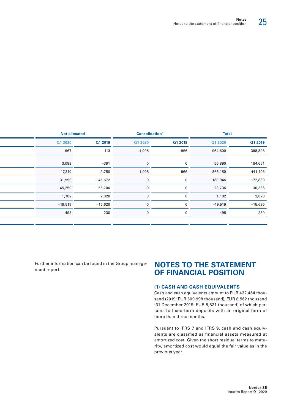|            | <b>Total</b> |              | Consolidation <sup>1</sup> |           | <b>Not allocated</b> |
|------------|--------------|--------------|----------------------------|-----------|----------------------|
| Q1 2019    | Q1 2020      | Q1 2019      | Q1 2020                    | Q1 2019   | Q1 2020              |
| 398,898    | 964,600      | $-966$       | $-1,008$                   | 113       | 967                  |
| 184,661    | 56,890       | $\mathbf{0}$ | $\Omega$                   | $-391$    | 3,083                |
| $-441,106$ | $-865,180$   | 966          | 1,008                      | $-9,750$  | $-17,310$            |
| $-172,839$ | $-180,046$   | $\mathbf{0}$ |                            | $-45,672$ | $-31,999$            |
| $-30,386$  | $-23,736$    | $\mathbf{0}$ | $\mathbf 0$                | $-55,700$ | $-45,259$            |

Further information can be found in the Group management report.

 $1,182$   $2,028$  0 0  $1,182$   $2,028$ Interest and similar expenses 0 0 0 0 –19,519 –15,620 0 0 –19,519 –15,620 Other financial result 0 0 0 0 498 230 0 0 498 230

# **NOTES TO THE STATEMENT OF FINANCIAL POSITION**

## **(1) CASH AND CASH EQUIVALENTS**

Cash and cash equivalents amount to EUR 432,464 thousand (2019: EUR 509,998 thousand), EUR 8,562 thousand (31 December 2019: EUR 8,831 thousand) of which pertains to fixed-term deposits with an original term of more than three months.

Pursuant to IFRS 7 and IFRS 9, cash and cash equivalents are classified as financial assets measured at amortized cost. Given the short residual terms to maturity, amortized cost would equal the fair value as in the previous year.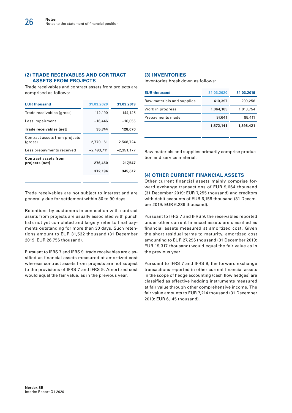## **(2) TRADE RECEIVABLES AND CONTRACT ASSETS FROM PROJECTS**

Trade receivables and contract assets from projects are comprised as follows:

| <b>EUR thousand</b>                           | 31.03.2020   | 31.03.2019   |
|-----------------------------------------------|--------------|--------------|
| Trade receivables (gross)                     | 112,190      | 144,125      |
| Less impairment                               | $-16,446$    | $-16,055$    |
| Trade receivables (net]                       | 95,744       | 128,070      |
| Contract assets from projects<br>(gross)      | 2,770,161    | 2,568,724    |
| Less prepayments received                     | $-2,493,711$ | $-2,351,177$ |
| <b>Contract assets from</b><br>projects (net) | 276,450      | 217,547      |
|                                               | 372,194      | 345,617      |
|                                               |              |              |

## **(3) INVENTORIES**

Inventories break down as follows:

| <b>EUR thousand</b>        | 31.03.2020 | 31.03.2019 |
|----------------------------|------------|------------|
| Raw materials and supplies | 410,397    | 299,256    |
| Work in progress           | 1.064.103  | 1,013,754  |
| Prepayments made           | 97,641     | 85,411     |
|                            | 1,572,141  | 1,398,421  |
|                            |            |            |

Raw materials and supplies primarily comprise production and service material.

## **(4) OTHER CURRENT FINANCIAL ASSETS**

Other current financial assets mainly comprise forward exchange transactions of EUR 9,664 thousand (31 December 2019: EUR 7,255 thousand) and creditors with debit accounts of EUR 6,158 thousand (31 December 2019: EUR 6,239 thousand).

Pursuant to IFRS 7 and IFRS 9, the receivables reported under other current financial assets are classified as financial assets measured at amortized cost. Given the short residual terms to maturity, amortized cost amounting to EUR 27,296 thousand (31 December 2019: EUR 19,317 thousand) would equal the fair value as in the previous year.

Pursuant to IFRS 7 and IFRS 9, the forward exchange transactions reported in other current financial assets in the scope of hedge accounting (cash flow hedges) are classified as effective hedging instruments measured at fair value through other comprehensive income. The fair value amounts to EUR 7,214 thousand (31 December 2019: EUR 6,145 thousand).

Trade receivables are not subject to interest and are generally due for settlement within 30 to 90 days.

Retentions by customers in connection with contract assets from projects are usually associated with punch lists not yet completed and largely refer to final payments outstanding for more than 30 days. Such retentions amount to EUR 31,532 thousand (31 December 2019: EUR 26,756 thousand).

Pursuant to IFRS 7 and IFRS 9, trade receivables are classified as financial assets measured at amortized cost whereas contract assets from projects are not subject to the provisions of IFRS 7 and IFRS 9. Amortized cost would equal the fair value, as in the previous year.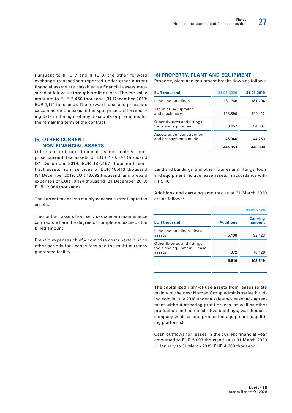Pursuant to IFRS 7 and IFRS 9, the other forward exchange transactions reported under other current financial assets are classified as financial assets measured at fair value through profit or loss. The fair value amounts to EUR 2,450 thousand (31 December 2019: EUR 1,110 thousand). The forward rates and prices are calculated on the basis of the spot price on the reporting date in the light of any discounts or premiums for the remaining term of the contract.

# **(5) OTHER CURRENT NON-FINANCIAL ASSETS**

Other current non-financial assets mainly comprise current tax assets of EUR 170,076 thousand (31 December 2019: EUR 185,497 thousand), contract assets from services of EUR 15,413 thousand (31 December 2019: EUR 13,692 thousand) and prepaid expenses of EUR 10,124 thousand (31 December 2019: EUR 12,964 thousand).

The current tax assets mainly concern current input tax assets.

The contract assets from services concern maintenance contracts where the degree of completion exceeds the billed amount.

Prepaid expenses chiefly comprise costs pertaining to other periods for license fees and the multi-currency guarantee facility.

#### **(6) PROPERTY, PLANT AND EQUIPMENT**

Property, plant and equipment breaks down as follows:

| <b>EUR thousand</b>                                 | 31.03.2020 | 31.03.2019 |
|-----------------------------------------------------|------------|------------|
| Land and buildings                                  | 181,766    | 181,704    |
| Technical equipment<br>and machinery                | 158,890    | 160,122    |
| Other fixtures and fittings,<br>tools and equipment | 56,457     | 54,004     |
| Assets under construction<br>and prepayments made   | 46,940     | 44,260     |
|                                                     | 444,053    | 440,090    |
|                                                     |            |            |

Land and buildings, and other fixtures and fittings, tools and equipment include lease assets in accordance with IFRS 16.

Additions and carrying amounts as of 31 March 2020 are as follows:

| 31.03.2020       |                           |
|------------------|---------------------------|
| <b>Additions</b> | <b>Carrying</b><br>amount |
| 5,138            | 92,423                    |
| 372              | 10,426                    |
| 5,510            | 102,849                   |
|                  |                           |

The capitalized right-of-use assets from leases relate mainly to the new Nordex Group administrative building sold in July 2018 under a sale-and-leaseback agreement without affecting profit or loss, as well as other production and administrative buildings, warehouses, company vehicles and production equipment (e.g. lifting platforms).

Cash outflows for leases in the current financial year amounted to EUR 5,093 thousand as at 31 March 2020 (1 January to 31 March 2019: EUR 4,263 thousand).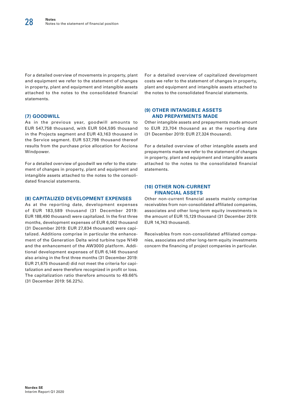For a detailed overview of movements in property, plant and equipment we refer to the statement of changes in property, plant and equipment and intangible assets attached to the notes to the consolidated financial statements.

## **(7) GOODWILL**

As in the previous year, goodwill amounts to EUR 547,758 thousand, with EUR 504,595 thousand in the Projects segment and EUR 43,163 thousand in the Service segment. EUR 537,798 thousand thereof results from the purchase price allocation for Acciona Windpower.

For a detailed overview of goodwill we refer to the statement of changes in property, plant and equipment and intangible assets attached to the notes to the consolidated financial statements.

#### **(8) CAPITALIZED DEVELOPMENT EXPENSES**

As at the reporting date, development expenses of EUR 183,589 thousand (31 December 2019: EUR 188,490 thousand) were capitalized. In the first three months, development expenses of EUR 6,062 thousand (31 December 2019: EUR 27,834 thousand) were capitalized. Additions comprise in particular the enhancement of the Generation Delta wind turbine type N149 and the enhancement of the AW3000 platform. Additional development expenses of EUR 6,146 thousand also arising in the first three months (31 December 2019: EUR 21,675 thousand) did not meet the criteria for capitalization and were therefore recognized in profit or loss. The capitalization ratio therefore amounts to 49.66% (31 December 2019: 56.22%).

For a detailed overview of capitalized development costs we refer to the statement of changes in property, plant and equipment and intangible assets attached to the notes to the consolidated financial statements.

## **(9) OTHER INTANGIBLE ASSETS AND PREPAYMENTS MADE**

Other intangible assets and prepayments made amount to EUR 23,704 thousand as at the reporting date (31 December 2019: EUR 27,324 thousand).

For a detailed overview of other intangible assets and prepayments made we refer to the statement of changes in property, plant and equipment and intangible assets attached to the notes to the consolidated financial statements.

#### **(10) OTHER NON-CURRENT FINANCIAL ASSETS**

Other non-current financial assets mainly comprise receivables from non-consolidated affiliated companies, associates and other long-term equity investments in the amount of EUR 15,129 thousand (31 December 2019: EUR 14,743 thousand).

Receivables from non-consolidated affiliated companies, associates and other long-term equity investments concern the financing of project companies in particular.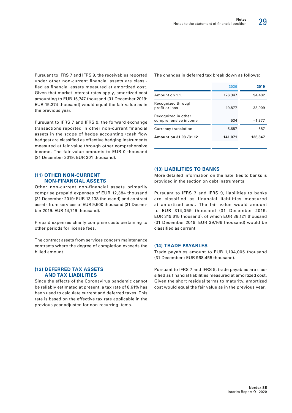Pursuant to IFRS 7 and IFRS 9, the receivables reported under other non-current financial assets are classified as financial assets measured at amortized cost. Given that market interest rates apply, amortized cost amounting to EUR 15,747 thousand (31 December 2019: EUR 15,374 thousand) would equal the fair value as in the previous year.

Pursuant to IFRS 7 and IFRS 9, the forward exchange transactions reported in other non-current financial assets in the scope of hedge accounting (cash flow hedges) are classified as effective hedging instruments measured at fair value through other comprehensive income. The fair value amounts to EUR 0 thousand (31 December 2019: EUR 301 thousand).

## **(11) OTHER NON-CURRENT NON-FINANCIAL ASSETS**

Other non-current non-financial assets primarily comprise prepaid expenses of EUR 12,384 thousand (31 December 2019: EUR 13,138 thousand) and contract assets from services of EUR 9,500 thousand (31 December 2019: EUR 14,719 thousand).

Prepaid expenses chiefly comprise costs pertaining to other periods for license fees.

The contract assets from services concern maintenance contracts where the degree of completion exceeds the billed amount.

#### **(12) DEFERRED TAX ASSETS AND TAX LIABILITIES**

Since the effects of the Coronavirus pandemic cannot be reliably estimated at present, a tax rate of 8.61% has been used to calculate current and deferred taxes. This rate is based on the effective tax rate applicable in the previous year adjusted for non-recurring items.

The changes in deferred tax break down as follows:

| 2020     | 2019     |
|----------|----------|
| 126,347  | 94,402   |
| 19,877   | 33,909   |
| 534      | $-1.377$ |
| $-5.687$ | $-587$   |
| 141,071  | 126,347  |
|          |          |

# **(13) LIABILITIES TO BANKS**

More detailed information on the liabilities to banks is provided in the section on debt instruments.

Pursuant to IFRS 7 and IFRS 9, liabilities to banks are classified as financial liabilities measured at amortized cost. The fair value would amount to EUR 314,059 thousand (31 December 2019: EUR 319,615 thousand), of which EUR 38,121 thousand (31 December 2019: EUR 39,166 thousand) would be classified as current.

#### **(14) TRADE PAYABLES**

Trade payables amount to EUR 1,104,005 thousand (31 December : EUR 968,455 thousand).

Pursuant to IFRS 7 and IFRS 9, trade payables are classified as financial liabilities measured at amortized cost. Given the short residual terms to maturity, amortized cost would equal the fair value as in the previous year.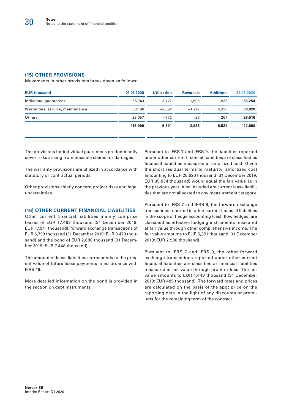## **(15) OTHER PROVISIONS**

Movements in other provisions break down as follows:

| <b>EUR thousand</b>              | 01.01.2020 | <b>Utilization</b> | <b>Reversals</b> | <b>Additions</b> | 31.03.2020 |
|----------------------------------|------------|--------------------|------------------|------------------|------------|
| Individual guarantees            | 56,743     | $-3.727$           | $-1.695$         | 1,933            | 53,254     |
| Warranties, service, maintenance | 30,196     | $-2.392$           | $-1.217$         | 4,333            | 30,920     |
| Others                           | 29,057     | $-772$             | $-26$            | 257              | 28,516     |
|                                  | 115,996    | $-6.891$           | $-2.938$         | 6,524            | 112,690    |
|                                  |            |                    |                  |                  |            |

The provisions for individual guarantees predominantly cover risks arising from possible claims for damages.

The warranty provisions are utilized in accordance with statutory or contractual periods.

Other provisions chiefly concern project risks and legal uncertainties.

#### **(16) OTHER CURRENT FINANCIAL LIABILITIES**

Other current financial liabilities mainly comprise leases of EUR 17,462 thousand (31 December 2019: EUR 17,941 thousand), forward exchange transactions of EUR 6,799 thousand (31 December 2019: EUR 3,479 thousand) and the bond of EUR 2,880 thousand (31 December 2019: EUR 7,448 thousand).

The amount of lease liabilities corresponds to the present value of future lease payments in accordance with IFRS 16.

More detailed information on the bond is provided in the section on debt instruments.

Pursuant to IFRS 7 and IFRS 9, the liabilities reported under other current financial liabilities are classified as financial liabilities measured at amortized cost. Given the short residual terms to maturity, amortized cost amounting to EUR 25,626 thousand (31 December 2019: EUR 35,034 thousand) would equal the fair value as in the previous year. Also included are current lease liabilities that are not allocated to any measurement category.

Pursuant to IFRS 7 and IFRS 9, the forward exchange transactions reported in other current financial liabilities in the scope of hedge accounting (cash flow hedges) are classified as effective hedging instruments measured at fair value through other comprehensive income. The fair value amounts to EUR 5,351 thousand (31 December 2019: EUR 2,990 thousand).

Pursuant to IFRS 7 and IFRS 9, the other forward exchange transactions reported under other current financial liabilities are classified as financial liabilities measured at fair value through profit or loss. The fair value amounts to EUR 1,448 thousand (31 December 2019: EUR 489 thousand). The forward rates and prices are calculated on the basis of the spot price on the reporting date in the light of any discounts or premiums for the remaining term of the contract.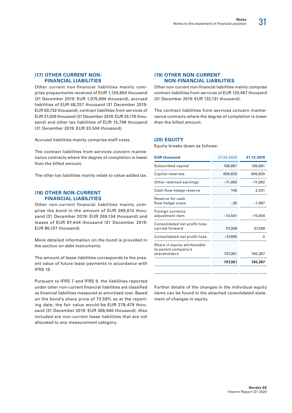## **(17) OTHER CURRENT NON-FINANCIAL LIABILITIES**

Other current non-financial liabilities mainly comprise prepayments received of EUR 1,129,894 thousand (31 December 2019: EUR 1,075,694 thousand), accrued liabilities of EUR 48,257 thousand (31 December 2019: EUR 60,732 thousand), contract liabilities from services of EUR 27,509 thousand (31 December 2019: EUR 25,176 thousand) and other tax liabilities of EUR 15,798 thousand (31 December 2019: EUR 33,504 thousand).

Accrued liabilities mainly comprise staff costs.

The contract liabilities from services concern maintenance contracts where the degree of completion is lower than the billed amount.

The other tax liabilities mainly relate to value-added tax.

#### **(18) OTHER NON-CURRENT FINANCIAL LIABILITIES**

Other non-current financial liabilities mainly comprise the bond in the amount of EUR 269,610 thousand (31 December 2019: EUR 269,134 thousand) and leases of EUR 87,444 thousand (31 December 2019: EUR 86,107 thousand).

More detailed information on the bond is provided in the section on debt instruments.

The amount of lease liabilities corresponds to the present value of future lease payments in accordance with IFRS 16.

Pursuant to IFRS 7 and IFRS 9, the liabilities reported under other non-current financial liabilities are classified as financial liabilities measured at amortized cost. Based on the bond's share price of 73.59% as at the reporting date, the fair value would be EUR 278,479 thousand (31 December 2019: EUR 368,940 thousand). Also included are non-current lease liabilities that are not allocated to any measurement category.

## **(19) OTHER NON-CURRENT NON-FINANCIAL LIABILITIES**

Other non-current non-financial liabilities mainly comprise contract liabilities from services of EUR 129,467 thousand (31 December 2019: EUR 132,131 thousand).

The contract liabilities from services concern maintenance contracts where the degree of completion is lower than the billed amount.

#### **(20) EQUITY**

Equity breaks down as follows:

| 31.03.2020 | 31.12.2019 |
|------------|------------|
| 106,681    | 106,681    |
| 606,820    | 606,820    |
| $-11,062$  | $-11,062$  |
| 145        | 2,331      |
| $-35$      | $-1,087$   |
| $-14,501$  | $-15,604$  |
| 57,308     | 57,308     |
| $-37,995$  | 0          |
| 707,361    | 745,387    |
| 707,361    | 745,387    |
|            |            |

Further details of the changes in the individual equity items can be found in the attached consolidated statement of changes in equity.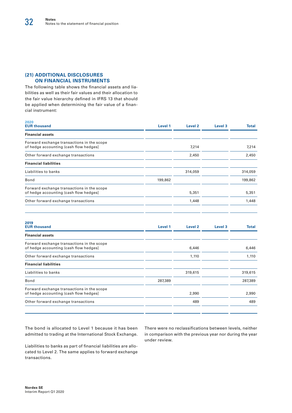# **(21) ADDITIONAL DISCLOSURES ON FINANCIAL INSTRUMENTS**

**2020**

The following table shows the financial assets and liabilities as well as their fair values and their allocation to the fair value hierarchy defined in IFRS 13 that should be applied when determining the fair value of a financial instrument:

| ZUZU<br><b>EUR thousand</b>                                                          | Level 1 | Level <sub>2</sub> | Level <sub>3</sub> | <b>Total</b> |
|--------------------------------------------------------------------------------------|---------|--------------------|--------------------|--------------|
| <b>Financial assets</b>                                                              |         |                    |                    |              |
| Forward exchange transactions in the scope<br>of hedge accounting (cash flow hedges) |         | 7,214              |                    | 7,214        |
| Other forward exchange transactions                                                  |         | 2,450              |                    | 2,450        |
| <b>Financial liabilities</b>                                                         |         |                    |                    |              |
| Liabilities to banks                                                                 |         | 314,059            |                    | 314,059      |
| Bond                                                                                 | 199,862 |                    |                    | 199,862      |
| Forward exchange transactions in the scope<br>of hedge accounting (cash flow hedges) |         | 5,351              |                    | 5,351        |
| Other forward exchange transactions                                                  |         | 1,448              |                    | 1,448        |
|                                                                                      |         |                    |                    |              |

| 2019<br><b>EUR thousand</b>                                                          | Level 1 | Level <sub>2</sub> | Level <sub>3</sub> | <b>Total</b> |
|--------------------------------------------------------------------------------------|---------|--------------------|--------------------|--------------|
| <b>Financial assets</b>                                                              |         |                    |                    |              |
| Forward exchange transactions in the scope<br>of hedge accounting (cash flow hedges) |         | 6,446              |                    | 6,446        |
| Other forward exchange transactions                                                  |         | 1,110              |                    | 1,110        |
| <b>Financial liabilities</b>                                                         |         |                    |                    |              |
| Liabilities to banks                                                                 |         | 319,615            |                    | 319,615      |
| Bond                                                                                 | 287,389 |                    |                    | 287,389      |
| Forward exchange transactions in the scope<br>of hedge accounting (cash flow hedges) |         | 2,990              |                    | 2,990        |
| Other forward exchange transactions                                                  |         | 489                |                    | 489          |
|                                                                                      |         |                    |                    |              |

The bond is allocated to Level 1 because it has been admitted to trading at the International Stock Exchange.

Liabilities to banks as part of financial liabilities are allocated to Level 2. The same applies to forward exchange transactions.

There were no reclassifications between levels, neither in comparison with the previous year nor during the year under review.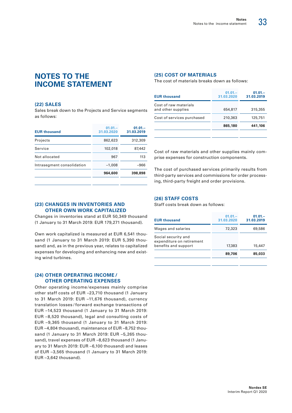# **NOTES TO THE INCOME STATEMENT**

#### **(22) SALES**

Sales break down to the Projects and Service segments as follows:

| <b>EUR thousand</b>        | $01.01 -$<br>31.03.2020 | $01.01 -$<br>31.03.2019 |
|----------------------------|-------------------------|-------------------------|
| Projects                   | 862,623                 | 312,309                 |
| Service                    | 102,018                 | 87,442                  |
| Not allocated              | 967                     | 113                     |
| Intrasegment consolidation | $-1,008$                | $-966$                  |
|                            | 964,600                 | 398,898                 |
|                            |                         |                         |

#### **(23) CHANGES IN INVENTORIES AND OTHER OWN WORK CAPITALIZED**

Changes in inventories stand at EUR 50,349 thousand (1 January to 31 March 2019: EUR 179,271 thousand).

Own work capitalized is measured at EUR 6,541 thousand (1 January to 31 March 2019: EUR 5,390 thousand) and, as in the previous year, relates to capitalized expenses for developing and enhancing new and existing wind turbines.

#### **(24) OTHER OPERATING INCOME / OTHER OPERATING EXPENSES**

Other operating income /expenses mainly comprise other staff costs of EUR –23,710 thousand (1 January to 31 March 2019: EUR –11,676 thousand), currency translation losses / forward exchange transactions of EUR –14,523 thousand (1 January to 31 March 2019: EUR –8,520 thousand), legal and consulting costs of EUR –9,365 thousand (1 January to 31 March 2019: EUR –4,804 thousand), maintenance of EUR –8,752 thousand (1 January to 31 March 2019: EUR –5,265 thousand), travel expenses of EUR –8,623 thousand (1 January to 31 March 2019: EUR –6,100 thousand) and leases of EUR –3,565 thousand (1 January to 31 March 2019: EUR –3,642 thousand).

# **(25) COST OF MATERIALS**

The cost of materials breaks down as follows:

| <b>EUR thousand</b>                         | $01.01 -$<br>31.03.2020 | $01.01 -$<br>31.03.2019 |
|---------------------------------------------|-------------------------|-------------------------|
| Cost of raw materials<br>and other supplies | 654,817                 | 315,355                 |
| Cost of services purchased                  | 210,363                 | 125,751                 |
|                                             | 865,180                 | 441.106                 |
|                                             |                         |                         |

Cost of raw materials and other supplies mainly comprise expenses for construction components.

The cost of purchased services primarily results from third-party services and commissions for order processing, third-party freight and order provisions.

#### **(26) STAFF COSTS**

Staff costs break down as follows:

| <b>EUR thousand</b>                                                      | $01.01 -$<br>31.03.2020 | $01.01 -$<br>31.03.2019 |
|--------------------------------------------------------------------------|-------------------------|-------------------------|
| Wages and salaries                                                       | 72,323                  | 69,586                  |
| Social security and<br>expenditure on retirement<br>benefits and support | 17,383                  | 15,447                  |
|                                                                          | 89,706                  | 85,033                  |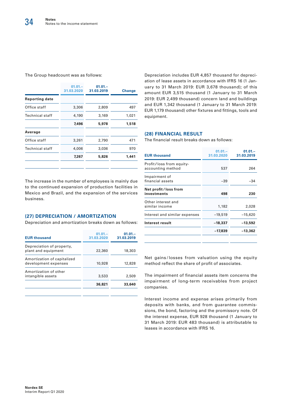#### The Group headcount was as follows:

|                       | $01.01 -$<br>31.03.2020 | $01.01 -$<br>31.03.2019 | <b>Change</b> |
|-----------------------|-------------------------|-------------------------|---------------|
| <b>Reporting date</b> |                         |                         |               |
| Office staff          | 3,306                   | 2,809                   | 497           |
| Technical staff       | 4,190                   | 3,169                   | 1,021         |
|                       | 7,496                   | 5,978                   | 1,518         |
| Average               |                         |                         |               |
| Office staff          | 3,261                   | 2,790                   | 471           |
| Technical staff       | 4,006                   | 3,036                   | 970           |
|                       | 7,267                   | 5,826                   | 1.441         |
|                       |                         |                         |               |

The increase in the number of employees is mainly due to the continued expansion of production facilities in Mexico and Brazil, and the expansion of the services business.

#### **(27) DEPRECIATION / AMORTIZATION**

Depreciation and amortization breaks down as follows:

| <b>EUR thousand</b>                                 | $01.01 -$<br>31.03.2020 | $01.01 -$<br>31.03.2019 |
|-----------------------------------------------------|-------------------------|-------------------------|
| Depreciation of property,<br>plant and equipment    | 22,360                  | 18,303                  |
| Amortization of capitalized<br>development expenses | 10,928                  | 12,828                  |
| Amortization of other<br>intangible assets          | 3.533                   | 2,509                   |
|                                                     | 36,821                  | 33,640                  |
|                                                     |                         |                         |

Depreciation includes EUR 4,857 thousand for depreciation of lease assets in accordance with IFRS 16 (1 January to 31 March 2019: EUR 3,678 thousand); of this amount EUR 3,515 thousand (1 January to 31 March 2019: EUR 2,499 thousand) concern land and buildings and EUR 1,342 thousand (1 January to 31 March 2019: EUR 1,179 thousand) other fixtures and fittings, tools and equipment.

#### **(28) FINANCIAL RESULT**

The financial result breaks down as follows:

| <b>EUR thousand</b>                           | $01.01 -$<br>31.03.2020 | $01.01 -$<br>31.03.2019 |
|-----------------------------------------------|-------------------------|-------------------------|
| Profit/loss from equity-<br>accounting method | 537                     | 264                     |
| Impairment of<br>financial assets             | $-39$                   | -34                     |
| Net profit/loss from<br>investments           | 498                     | 230                     |
| Other interest and<br>similar income          | 1,182                   | 2,028                   |
| Interest and similar expenses                 | $-19,519$               | $-15,620$               |
| Interest result                               | -18,337                 | $-13,592$               |
|                                               | -17,839                 | -13,362                 |

Net gains/losses from valuation using the equity method reflect the share of profit of associates.

The impairment of financial assets item concerns the impairment of long-term receivables from project companies.

Interest income and expense arises primarily from deposits with banks, and from guarantee commissions, the bond, factoring and the promissory note. Of the interest expense, EUR 928 thousand (1 January to 31 March 2019: EUR 483 thousand) is attributable to leases in accordance with IFRS 16.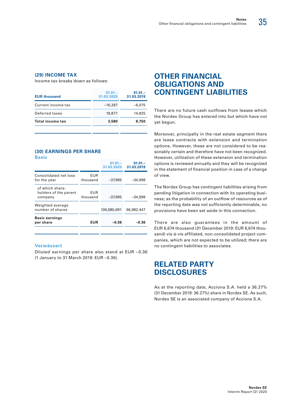# **(29) INCOME TAX**

Income tax breaks down as follows:

| <b>Total income tax</b> | 3,580                   | 8,750                   |
|-------------------------|-------------------------|-------------------------|
| Deferred taxes          | 19,877                  | 14,825                  |
| Current income tax      | $-16,297$               | $-6.075$                |
| <b>EUR thousand</b>     | $01.01 -$<br>31.03.2020 | $01.01 -$<br>31.03.2019 |

#### **(30) EARNINGS PER SHARE Basic**

| per share                                           | EUR                    | -0.36                   | -0.36                   |
|-----------------------------------------------------|------------------------|-------------------------|-------------------------|
| <b>Basic earnings</b>                               |                        |                         |                         |
| Weighted average<br>number of shares                |                        | 106,680,691             | 96,982,447              |
| of which share-<br>holders of the parent<br>company | EUR<br>thousand        | $-37,995$               | $-34.998$               |
| Consolidated net loss<br>for the year               | <b>EUR</b><br>thousand | $-37,995$               | $-34.998$               |
|                                                     |                        | $01.01 -$<br>31.03.2020 | $01.01 -$<br>31.03.2019 |

#### **Verwässert**

Diluted earnings per share also stand at EUR –0.36 (1 January to 31 March 2019: EUR –0.36).

# **OTHER FINANCIAL OBLIGATIONS AND CONTINGENT LIABILITIES**

There are no future cash outflows from leases which the Nordex Group has entered into but which have not yet begun.

Moreover, principally in the real estate segment there are lease contracts with extension and termination options. However, these are not considered to be reasonably certain and therefore have not been recognized. However, utilization of these extension and termination options is reviewed annually and they will be recognized in the statement of financial position in case of a change of view.

The Nordex Group has contingent liabilities arising from pending litigation in connection with its operating business; as the probability of an outflow of resources as of the reporting date was not sufficiently determinable, no provisions have been set aside in this connection.

There are also guarantees in the amount of EUR 6,674 thousand (31 December 2019: EUR 6,674 thousand) vis-à-vis affiliated, non-consolidated project companies, which are not expected to be utilized; there are no contingent liabilities to associates.

# **RELATED PARTY DISCLOSURES**

As at the reporting date, Acciona S.A. held a 36.27% (31 December 2019: 36.27%) share in Nordex SE. As such, Nordex SE is an associated company of Acciona S.A.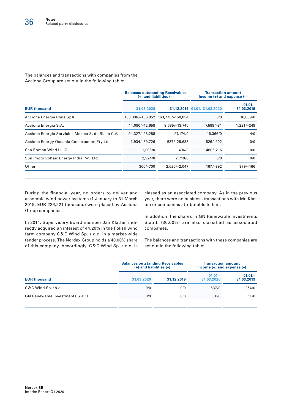The balances and transactions with companies from the Acciona Group are set out in the following table:

|                |                  | <b>Transaction amount</b><br>Income $(+)$ and expense $(-)$                                |                                |  |  |
|----------------|------------------|--------------------------------------------------------------------------------------------|--------------------------------|--|--|
| 31.03.2020     |                  |                                                                                            | $01.01 -$<br>31.03.2019        |  |  |
|                | 163,775/-150,054 | 0/0                                                                                        | 16,889/0                       |  |  |
| 14,090/-12,658 | 8,685/-13,746    | 7,589/-81                                                                                  | 1,221/-249                     |  |  |
| 94,327/-96,288 | 97.174/0         | 16,366/0                                                                                   | 4/0                            |  |  |
| 1,934/-69,726  | 587/-28,688      | $526/-902$                                                                                 | 0/0                            |  |  |
| 1,008/0        | 496/0            | $460/-216$                                                                                 | 0/0                            |  |  |
| 2,924/0        | 2,710/0          | 0/0                                                                                        | 0/0                            |  |  |
| 366/-700       | $2,626/-2,047$   | $167/-392$                                                                                 | $379/-166$                     |  |  |
|                |                  | <b>Balances outstanding Receivables</b><br>$(+)$ and liabilities $(-)$<br>163,806/-156,952 | 31.12.2019 01.01. - 31.03.2020 |  |  |

During the financial year, no orders to deliver and assemble wind power systems (1 January to 31 March 2019: EUR 226,221 thousand) were placed by Acciona Group companies.

classed as an associated company. As in the previous year, there were no business transactions with Mr. Klatten or companies attributable to him.

In addition, the shares in GN Renewable Investments S.a.r.l. (30.00%) are also classified as associated companies.

In 2014, Supervisory Board member Jan Klatten indirectly acquired an interest of 44.20% in the Polish wind farm company C&C Wind Sp. z o.o. in a market-wide tender process. The Nordex Group holds a 40.00% share of this company. Accordingly, C&C Wind Sp. z o.o. is

The balances and transactions with these companies are set out in the following table:

|                                   | <b>Balances outstanding Receivables</b><br>$(+)$ and liabilities $(-)$ |            | <b>Transaction amount</b><br>Income $(+)$ and expense $(-)$ |                         |  |  |
|-----------------------------------|------------------------------------------------------------------------|------------|-------------------------------------------------------------|-------------------------|--|--|
| <b>EUR thousand</b>               | 31.03.2020                                                             | 31.12.2019 | $01.01 -$<br>31.03.2020                                     | $01.01 -$<br>31.03.2019 |  |  |
| C&C Wind Sp.zo.o.                 | 0/0                                                                    | 0/0        | 537/0                                                       | 264/0                   |  |  |
| GN Renewable Investments S.a.r.l. | 0/0                                                                    | 0/0        | 0/0                                                         | 11/0                    |  |  |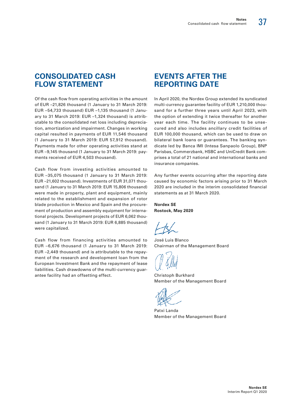# **CONSOLIDATED CASH FLOW STATEMENT**

Of the cash flow from operating activities in the amount of EUR –21,826 thousand (1 January to 31 March 2019: EUR –54,733 thousand) EUR –1,135 thousand (1 January to 31 March 2019: EUR –1,324 thousand) is attributable to the consolidated net loss including depreciation, amortization and impairment. Changes in working capital resulted in payments of EUR 11,546 thousand (1 January to 31 March 2019: EUR 57,912 thousand). Payments made for other operating activities stand at EUR –9,145 thousand (1 January to 31 March 2019: payments received of EUR 4,503 thousand).

Cash flow from investing activities amounted to EUR –35,075 thousand (1 January to 31 March 2019: EUR –21,602 thousand). Investments of EUR 31,071 thousand (1 January to 31 March 2019: EUR 15,806 thousand) were made in property, plant and equipment, mainly related to the establishment and expansion of rotor blade production in Mexico and Spain and the procurement of production and assembly equipment for international projects. Development projects of EUR 6,062 thousand (1 January to 31 March 2019: EUR 6,885 thousand) were capitalized.

Cash flow from financing activities amounted to EUR –6,676 thousand (1 January to 31 March 2019: EUR –2,449 thousand) and is attributable to the repayment of the research and development loan from the European Investment Bank and the repayment of lease liabilities. Cash drawdowns of the multi-currency guarantee facility had an offsetting effect.

# **EVENTS AFTER THE REPORTING DATE**

In April 2020, the Nordex Group extended its syndicated multi-currency guarantee facility of EUR 1,210,000 thousand for a further three years until April 2023, with the option of extending it twice thereafter for another year each time. The facility continues to be unsecured and also includes ancillary credit facilities of EUR 100,000 thousand, which can be used to draw on bilateral bank loans or guarantees. The banking syndicate led by Banca IMI (Intesa Sanpaolo Group), BNP Parisbas, Commerzbank, HSBC and UniCredit Bank comprises a total of 21 national and international banks and insurance companies.

Any further events occurring after the reporting date caused by economic factors arising prior to 31 March 2020 are included in the interim consolidated financial statements as at 31 March 2020.

**Nordex SE Rostock, May 2020**

José Luis Blanco Chairman of the Management Board

Christoph Burkhard Member of the Management Board

Patxi Landa Member of the Management Board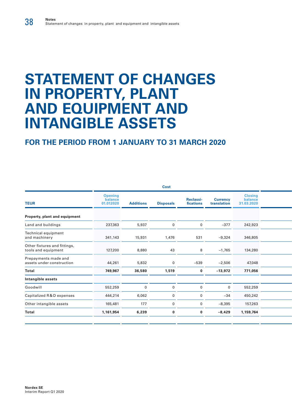# **STATEMENT OF CHANGES IN PROPERTY, PLANT AND EQUIPMENT AND INTANGIBLE ASSETS**

|                                        |                  | Cost             |                               |                                |                                         |  |
|----------------------------------------|------------------|------------------|-------------------------------|--------------------------------|-----------------------------------------|--|
| <b>Opening</b><br>balance<br>01.012020 | <b>Additions</b> | <b>Disposals</b> | <b>Reclassi-</b><br>fications | <b>Currency</b><br>translation | <b>Closing</b><br>balance<br>31.03.2020 |  |
|                                        |                  |                  |                               |                                |                                         |  |
| 237,363                                | 5,937            | $\Omega$         | $\Omega$                      | $-377$                         | 242,923                                 |  |
| 341,143                                | 15,931           | 1,476            | 531                           | $-9,324$                       | 346,805                                 |  |
| 127,200                                | 8,880            | 43               | 8                             | $-1,765$                       | 134,280                                 |  |
| 44,261                                 | 5,832            | $\Omega$         | $-539$                        | $-2,506$                       | 47,048                                  |  |
| 749,967                                | 36,580           | 1,519            | $\mathbf 0$                   | $-13,972$                      | 771,056                                 |  |
|                                        |                  |                  |                               |                                |                                         |  |
| 552,259                                | $\Omega$         |                  |                               | $\mathbf 0$                    | 552,259                                 |  |
| 444,214                                | 6,062            | $\Omega$         | $\Omega$                      | $-34$                          | 450,242                                 |  |
| 165,481                                | 177              | $\Omega$         | $\Omega$                      | $-8,395$                       | 157,263                                 |  |
| 1,161,954                              | 6,239            | $\bf{0}$         | $\bf{0}$                      | $-8,429$                       | 1,159,764                               |  |
|                                        |                  |                  |                               |                                |                                         |  |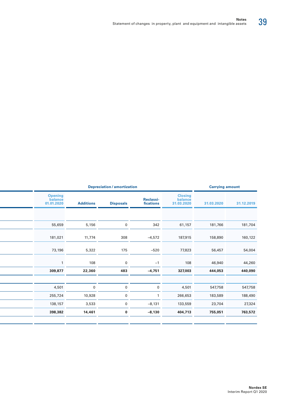| <b>Depreciation / amortization</b> |                               |  |  |                                         | <b>Carrying amount</b> |            |  |
|------------------------------------|-------------------------------|--|--|-----------------------------------------|------------------------|------------|--|
|                                    | <b>Reclassi-</b><br>fications |  |  | <b>Closing</b><br>balance<br>31.03.2020 | 31.03.2020             | 31.12.2019 |  |
|                                    |                               |  |  |                                         |                        |            |  |
|                                    | 342                           |  |  | 61,157                                  | 181,766                | 181,704    |  |
|                                    | $-4,572$                      |  |  | 187,915                                 | 158,890                | 160,122    |  |
|                                    | $-520$                        |  |  | 77,823                                  | 56,457                 | 54,004     |  |
|                                    | $-1$                          |  |  | 108                                     | 46,940                 | 44,260     |  |
|                                    | $-4,751$                      |  |  | 327,003                                 | 444,053                | 440,090    |  |
|                                    | $\mathsf{O}\xspace$           |  |  | 4,501                                   | 547,758                | 547,758    |  |
|                                    |                               |  |  | 266,653                                 | 183,589                | 188,490    |  |
|                                    | $-8,131$                      |  |  | 133,559                                 | 23,704                 | 27,324     |  |
|                                    | $-8,130$                      |  |  | 404,713                                 | 755,051                | 763,572    |  |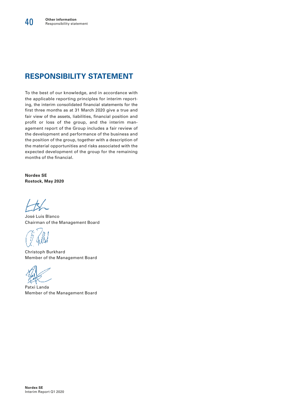# **RESPONSIBILITY STATEMENT**

To the best of our knowledge, and in accordance with the applicable reporting principles for interim reporting, the interim consolidated financial statements for the first three months as at 31 March 2020 give a true and fair view of the assets, liabilities, financial position and profit or loss of the group, and the interim management report of the Group includes a fair review of the development and performance of the business and the position of the group, together with a description of the material opportunities and risks associated with the expected development of the group for the remaining months of the financial.

**Nordex SE Rostock, May 2020**

José Luis Blanco Chairman of the Management Board

Christoph Burkhard Member of the Management Board

Patxi Landa Member of the Management Board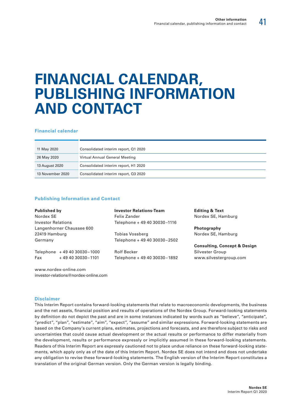41

# **FINANCIAL CALENDAR, PUBLISHING INFORMATION AND CONTACT**

#### **Financial calendar**

| 11 May 2020      | Consolidated interim report, Q1 2020 |
|------------------|--------------------------------------|
| 26 May 2020      | Virtual Annual General Meeting       |
| 13 August 2020   | Consolidated interim report, H1 2020 |
| 13 November 2020 | Consolidated interim report, Q3 2020 |

#### **Publishing Information and Contact**

| <b>Published by</b>         | <b>Investor Relations-Team</b> | <b>Editing &amp; Text</b>               |  |  |  |  |
|-----------------------------|--------------------------------|-----------------------------------------|--|--|--|--|
| Nordex SE                   | Felix Zander                   | Nordex SE, Hamburg                      |  |  |  |  |
| <b>Investor Relations</b>   | Telephone + 49 40 30030-1116   |                                         |  |  |  |  |
| Langenhorner Chaussee 600   |                                | Photography                             |  |  |  |  |
| 22419 Hamburg               | Tobias Vossberg                | Nordex SE, Hamburg                      |  |  |  |  |
| Germany                     | Telephone + 49 40 30030-2502   |                                         |  |  |  |  |
|                             |                                | <b>Consulting, Concept &amp; Design</b> |  |  |  |  |
| Telephone +49 40 30030-1000 | <b>Rolf Becker</b>             | Silvester Group                         |  |  |  |  |
| Fax<br>+49 40 30030 - 1101  | Telephone + 49 40 30030-1892   | www.silvestergroup.com                  |  |  |  |  |
|                             |                                |                                         |  |  |  |  |

www.nordex-online.com investor-relations@nordex-online.com

#### **Disclaimer**

This Interim Report contains forward-looking statements that relate to macroeconomic developments, the business and the net assets, financial position and results of operations of the Nordex Group. Forward-looking statements by definition do not depict the past and are in some instances indicated by words such as "believe", "anticipate", "predict", "plan", "estimate", "aim", "expect", "assume" and similar expressions. Forward-looking statements are based on the Company's current plans, estimates, projections and forecasts, and are therefore subject to risks and uncertainties that could cause actual development or the actual results or performance to differ materially from the development, results or performance expressly or implicitly assumed in these forward-looking statements. Readers of this Interim Report are expressly cautioned not to place undue reliance on these forward-looking statements, which apply only as of the date of this Interim Report. Nordex SE does not intend and does not undertake any obligation to revise these forward-looking statements. The English version of the Interim Report constitutes a translation of the original German version. Only the German version is legally binding.